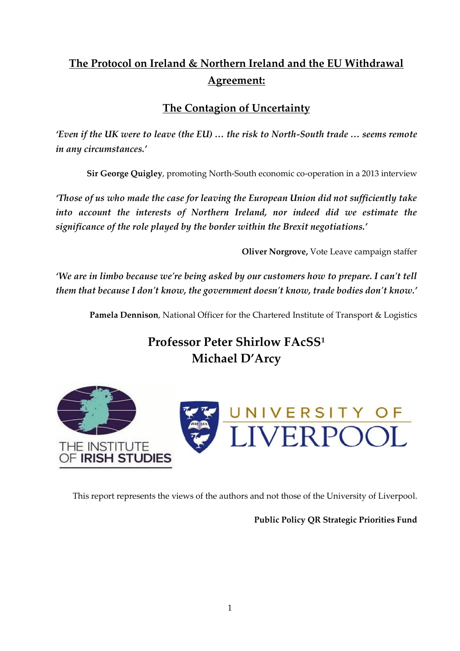# **The Protocol on Ireland & Northern Ireland and the EU Withdrawal Agreement:**

# **The Contagion of Uncertainty**

*'Even if the UK were to leave (the EU) … the risk to North-South trade … seems remote in any circumstances.'* 

**Sir George Quigley**, promoting North-South economic co-operation in a 2013 interview

*'Those of us who made the case for leaving the European Union did not sufficiently take*  into account the interests of Northern Ireland, nor indeed did we estimate the *significance of the role played by the border within the Brexit negotiations.'*

**Oliver Norgrove,** Vote Leave campaign staffer

*'We are in limbo because we're being asked by our customers how to prepare. I can't tell them that because I don't know, the government doesn't know, trade bodies don't know.'*

**Pamela Dennison**, National Officer for the Chartered Institute of Transport & Logistics

**Professor Peter Shirlow FAcSS<sup>1</sup> Michael D'Arcy**



This report represents the views of the authors and not those of the University of Liverpool.

**Public Policy QR Strategic Priorities Fund**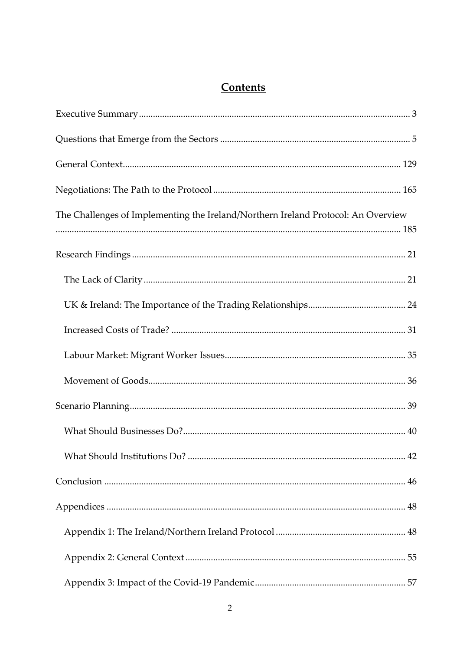# **Contents**

| The Challenges of Implementing the Ireland/Northern Ireland Protocol: An Overview |  |
|-----------------------------------------------------------------------------------|--|
|                                                                                   |  |
|                                                                                   |  |
|                                                                                   |  |
|                                                                                   |  |
|                                                                                   |  |
|                                                                                   |  |
|                                                                                   |  |
|                                                                                   |  |
|                                                                                   |  |
|                                                                                   |  |
|                                                                                   |  |
|                                                                                   |  |
|                                                                                   |  |
|                                                                                   |  |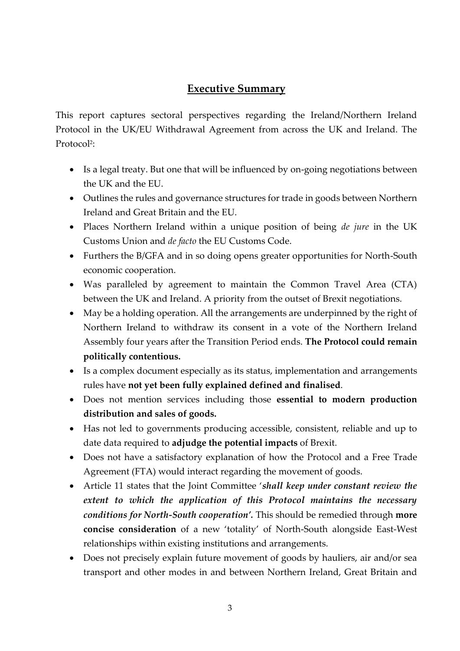# **Executive Summary**

<span id="page-2-0"></span>This report captures sectoral perspectives regarding the Ireland/Northern Ireland Protocol in the UK/EU Withdrawal Agreement from across the UK and Ireland. The Protocol<sup>2</sup>:

- Is a legal treaty. But one that will be influenced by on-going negotiations between the UK and the EU.
- Outlines the rules and governance structures for trade in goods between Northern Ireland and Great Britain and the EU.
- Places Northern Ireland within a unique position of being *de jure* in the UK Customs Union and *de facto* the EU Customs Code.
- Furthers the B/GFA and in so doing opens greater opportunities for North-South economic cooperation.
- Was paralleled by agreement to maintain the Common Travel Area (CTA) between the UK and Ireland. A priority from the outset of Brexit negotiations.
- May be a holding operation. All the arrangements are underpinned by the right of Northern Ireland to withdraw its consent in a vote of the Northern Ireland Assembly four years after the Transition Period ends. **The Protocol could remain politically contentious.**
- Is a complex document especially as its status, implementation and arrangements rules have **not yet been fully explained defined and finalised**.
- Does not mention services including those **essential to modern production distribution and sales of goods.**
- Has not led to governments producing accessible, consistent, reliable and up to date data required to **adjudge the potential impacts** of Brexit.
- Does not have a satisfactory explanation of how the Protocol and a Free Trade Agreement (FTA) would interact regarding the movement of goods.
- Article 11 states that the Joint Committee '*shall keep under constant review the extent to which the application of this Protocol maintains the necessary conditions for North-South cooperation'.* This should be remedied through **more concise consideration** of a new 'totality' of North-South alongside East-West relationships within existing institutions and arrangements.
- Does not precisely explain future movement of goods by hauliers, air and/or sea transport and other modes in and between Northern Ireland, Great Britain and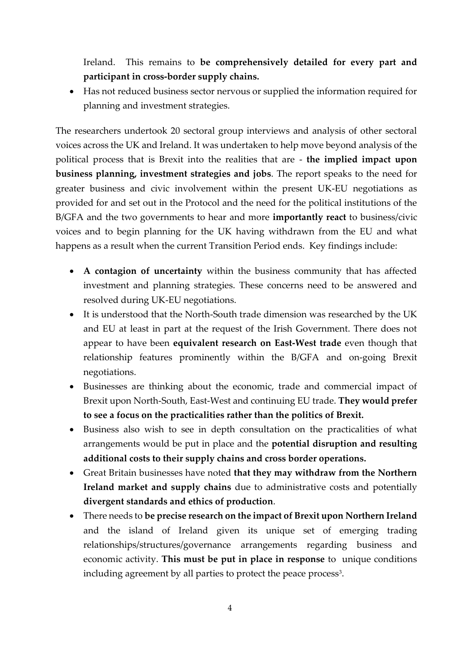Ireland. This remains to **be comprehensively detailed for every part and participant in cross-border supply chains.**

• Has not reduced business sector nervous or supplied the information required for planning and investment strategies.

The researchers undertook 20 sectoral group interviews and analysis of other sectoral voices across the UK and Ireland. It was undertaken to help move beyond analysis of the political process that is Brexit into the realities that are - **the implied impact upon business planning, investment strategies and jobs**. The report speaks to the need for greater business and civic involvement within the present UK-EU negotiations as provided for and set out in the Protocol and the need for the political institutions of the B/GFA and the two governments to hear and more **importantly react** to business/civic voices and to begin planning for the UK having withdrawn from the EU and what happens as a result when the current Transition Period ends. Key findings include:

- **A contagion of uncertainty** within the business community that has affected investment and planning strategies. These concerns need to be answered and resolved during UK-EU negotiations.
- It is understood that the North-South trade dimension was researched by the UK and EU at least in part at the request of the Irish Government. There does not appear to have been **equivalent research on East-West trade** even though that relationship features prominently within the B/GFA and on-going Brexit negotiations.
- Businesses are thinking about the economic, trade and commercial impact of Brexit upon North-South, East-West and continuing EU trade. **They would prefer to see a focus on the practicalities rather than the politics of Brexit.**
- Business also wish to see in depth consultation on the practicalities of what arrangements would be put in place and the **potential disruption and resulting additional costs to their supply chains and cross border operations.**
- Great Britain businesses have noted **that they may withdraw from the Northern Ireland market and supply chains** due to administrative costs and potentially **divergent standards and ethics of production**.
- There needs to **be precise research on the impact of Brexit upon Northern Ireland** and the island of Ireland given its unique set of emerging trading relationships/structures/governance arrangements regarding business and economic activity. **This must be put in place in response** to unique conditions including agreement by all parties to protect the peace process $^3$ .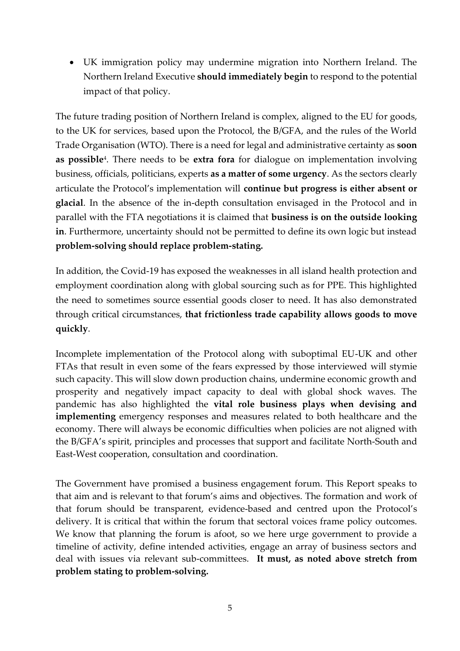• UK immigration policy may undermine migration into Northern Ireland. The Northern Ireland Executive **should immediately begin** to respond to the potential impact of that policy.

The future trading position of Northern Ireland is complex, aligned to the EU for goods, to the UK for services, based upon the Protocol, the B/GFA, and the rules of the World Trade Organisation (WTO). There is a need for legal and administrative certainty as **soon as possible**<sup>4</sup> . There needs to be **extra fora** for dialogue on implementation involving business, officials, politicians, experts **as a matter of some urgency**. As the sectors clearly articulate the Protocol's implementation will **continue but progress is either absent or glacial**. In the absence of the in-depth consultation envisaged in the Protocol and in parallel with the FTA negotiations it is claimed that **business is on the outside looking in**. Furthermore, uncertainty should not be permitted to define its own logic but instead **problem-solving should replace problem-stating.**

In addition, the Covid-19 has exposed the weaknesses in all island health protection and employment coordination along with global sourcing such as for PPE. This highlighted the need to sometimes source essential goods closer to need. It has also demonstrated through critical circumstances, **that frictionless trade capability allows goods to move quickly**.

Incomplete implementation of the Protocol along with suboptimal EU-UK and other FTAs that result in even some of the fears expressed by those interviewed will stymie such capacity. This will slow down production chains, undermine economic growth and prosperity and negatively impact capacity to deal with global shock waves. The pandemic has also highlighted the **vital role business plays when devising and implementing** emergency responses and measures related to both healthcare and the economy. There will always be economic difficulties when policies are not aligned with the B/GFA's spirit, principles and processes that support and facilitate North-South and East-West cooperation, consultation and coordination.

The Government have promised a business engagement forum. This Report speaks to that aim and is relevant to that forum's aims and objectives. The formation and work of that forum should be transparent, evidence-based and centred upon the Protocol's delivery. It is critical that within the forum that sectoral voices frame policy outcomes. We know that planning the forum is afoot, so we here urge government to provide a timeline of activity, define intended activities, engage an array of business sectors and deal with issues via relevant sub-committees. **It must, as noted above stretch from problem stating to problem-solving.**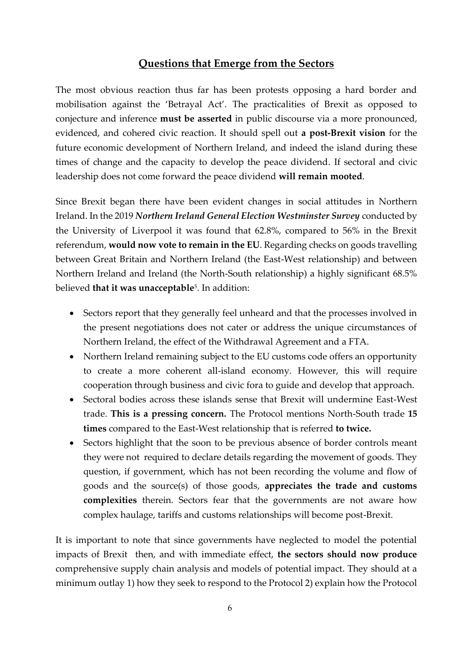## **Questions that Emerge from the Sectors**

<span id="page-5-0"></span>The most obvious reaction thus far has been protests opposing a hard border and mobilisation against the 'Betrayal Act'. The practicalities of Brexit as opposed to conjecture and inference **must be asserted** in public discourse via a more pronounced, evidenced, and cohered civic reaction. It should spell out **a post-Brexit vision** for the future economic development of Northern Ireland, and indeed the island during these times of change and the capacity to develop the peace dividend. If sectoral and civic leadership does not come forward the peace dividend **will remain mooted**.

Since Brexit began there have been evident changes in social attitudes in Northern Ireland. In the 2019 *Northern Ireland General Election Westminster Survey* conducted by the University of Liverpool it was found that 62.8%, compared to 56% in the Brexit referendum, **would now vote to remain in the EU**. Regarding checks on goods travelling between Great Britain and Northern Ireland (the East-West relationship) and between Northern Ireland and Ireland (the North-South relationship) a highly significant 68.5% believed **that it was unacceptable**<sup>5</sup> . In addition:

- Sectors report that they generally feel unheard and that the processes involved in the present negotiations does not cater or address the unique circumstances of Northern Ireland, the effect of the Withdrawal Agreement and a FTA.
- Northern Ireland remaining subject to the EU customs code offers an opportunity to create a more coherent all-island economy. However, this will require cooperation through business and civic fora to guide and develop that approach.
- Sectoral bodies across these islands sense that Brexit will undermine East-West trade. **This is a pressing concern.** The Protocol mentions North-South trade **15 times** compared to the East-West relationship that is referred **to twice.**
- Sectors highlight that the soon to be previous absence of border controls meant they were not required to declare details regarding the movement of goods. They question, if government, which has not been recording the volume and flow of goods and the source(s) of those goods, **appreciates the trade and customs complexities** therein. Sectors fear that the governments are not aware how complex haulage, tariffs and customs relationships will become post-Brexit.

It is important to note that since governments have neglected to model the potential impacts of Brexit then, and with immediate effect, **the sectors should now produce** comprehensive supply chain analysis and models of potential impact. They should at a minimum outlay 1) how they seek to respond to the Protocol 2) explain how the Protocol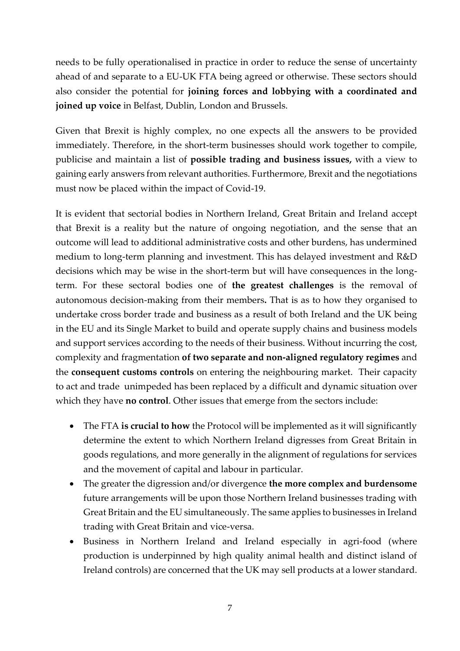needs to be fully operationalised in practice in order to reduce the sense of uncertainty ahead of and separate to a EU-UK FTA being agreed or otherwise. These sectors should also consider the potential for **joining forces and lobbying with a coordinated and joined up voice** in Belfast, Dublin, London and Brussels.

Given that Brexit is highly complex, no one expects all the answers to be provided immediately. Therefore, in the short-term businesses should work together to compile, publicise and maintain a list of **possible trading and business issues,** with a view to gaining early answers from relevant authorities. Furthermore, Brexit and the negotiations must now be placed within the impact of Covid-19.

It is evident that sectorial bodies in Northern Ireland, Great Britain and Ireland accept that Brexit is a reality but the nature of ongoing negotiation, and the sense that an outcome will lead to additional administrative costs and other burdens, has undermined medium to long-term planning and investment. This has delayed investment and R&D decisions which may be wise in the short-term but will have consequences in the longterm. For these sectoral bodies one of **the greatest challenges** is the removal of autonomous decision-making from their members**.** That is as to how they organised to undertake cross border trade and business as a result of both Ireland and the UK being in the EU and its Single Market to build and operate supply chains and business models and support services according to the needs of their business. Without incurring the cost, complexity and fragmentation **of two separate and non-aligned regulatory regimes** and the **consequent customs controls** on entering the neighbouring market. Their capacity to act and trade unimpeded has been replaced by a difficult and dynamic situation over which they have **no control**. Other issues that emerge from the sectors include:

- The FTA **is crucial to how** the Protocol will be implemented as it will significantly determine the extent to which Northern Ireland digresses from Great Britain in goods regulations, and more generally in the alignment of regulations for services and the movement of capital and labour in particular.
- The greater the digression and/or divergence **the more complex and burdensome** future arrangements will be upon those Northern Ireland businesses trading with Great Britain and the EU simultaneously. The same applies to businesses in Ireland trading with Great Britain and vice-versa.
- Business in Northern Ireland and Ireland especially in agri-food (where production is underpinned by high quality animal health and distinct island of Ireland controls) are concerned that the UK may sell products at a lower standard.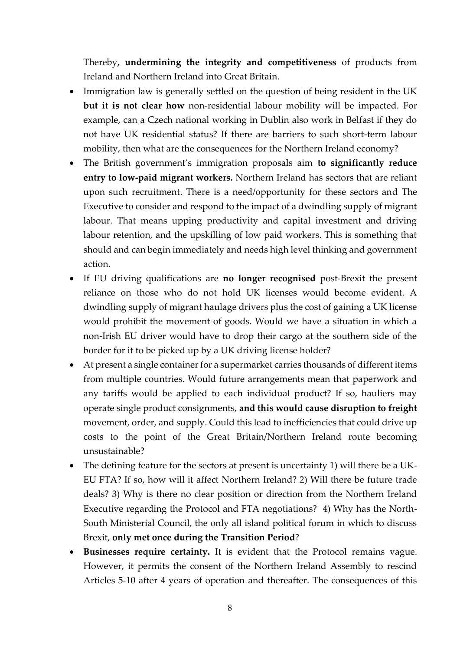Thereby**, undermining the integrity and competitiveness** of products from Ireland and Northern Ireland into Great Britain.

- Immigration law is generally settled on the question of being resident in the UK **but it is not clear how** non-residential labour mobility will be impacted. For example, can a Czech national working in Dublin also work in Belfast if they do not have UK residential status? If there are barriers to such short-term labour mobility, then what are the consequences for the Northern Ireland economy?
- The British government's immigration proposals aim **to significantly reduce entry to low-paid migrant workers.** Northern Ireland has sectors that are reliant upon such recruitment. There is a need/opportunity for these sectors and The Executive to consider and respond to the impact of a dwindling supply of migrant labour. That means upping productivity and capital investment and driving labour retention, and the upskilling of low paid workers. This is something that should and can begin immediately and needs high level thinking and government action.
- If EU driving qualifications are **no longer recognised** post-Brexit the present reliance on those who do not hold UK licenses would become evident. A dwindling supply of migrant haulage drivers plus the cost of gaining a UK license would prohibit the movement of goods. Would we have a situation in which a non-Irish EU driver would have to drop their cargo at the southern side of the border for it to be picked up by a UK driving license holder?
- At present a single container for a supermarket carries thousands of different items from multiple countries. Would future arrangements mean that paperwork and any tariffs would be applied to each individual product? If so, hauliers may operate single product consignments, **and this would cause disruption to freight** movement, order, and supply. Could this lead to inefficiencies that could drive up costs to the point of the Great Britain/Northern Ireland route becoming unsustainable?
- The defining feature for the sectors at present is uncertainty 1) will there be a UK-EU FTA? If so, how will it affect Northern Ireland? 2) Will there be future trade deals? 3) Why is there no clear position or direction from the Northern Ireland Executive regarding the Protocol and FTA negotiations? 4) Why has the North-South Ministerial Council, the only all island political forum in which to discuss Brexit, **only met once during the Transition Period**?
- **Businesses require certainty.** It is evident that the Protocol remains vague. However, it permits the consent of the Northern Ireland Assembly to rescind Articles 5-10 after 4 years of operation and thereafter. The consequences of this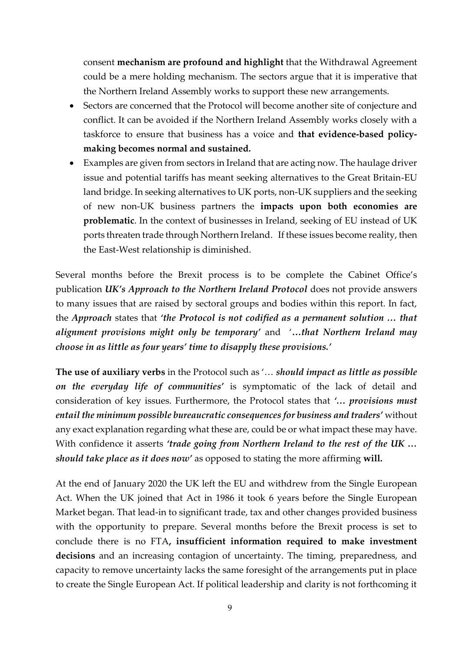consent **mechanism are profound and highlight** that the Withdrawal Agreement could be a mere holding mechanism. The sectors argue that it is imperative that the Northern Ireland Assembly works to support these new arrangements.

- Sectors are concerned that the Protocol will become another site of conjecture and conflict. It can be avoided if the Northern Ireland Assembly works closely with a taskforce to ensure that business has a voice and **that evidence-based policymaking becomes normal and sustained.**
- Examples are given from sectors in Ireland that are acting now. The haulage driver issue and potential tariffs has meant seeking alternatives to the Great Britain-EU land bridge. In seeking alternatives to UK ports, non-UK suppliers and the seeking of new non-UK business partners the **impacts upon both economies are problematic**. In the context of businesses in Ireland, seeking of EU instead of UK ports threaten trade through Northern Ireland. If these issues become reality, then the East-West relationship is diminished.

Several months before the Brexit process is to be complete the Cabinet Office's publication *UK's Approach to the Northern Ireland Protocol* does not provide answers to many issues that are raised by sectoral groups and bodies within this report. In fact, the *Approach* states that *'the Protocol is not codified as a permanent solution … that alignment provisions might only be temporary'* and '**…***that Northern Ireland may choose in as little as four years' time to disapply these provisions.'*

**The use of auxiliary verbs** in the Protocol such as '… *should impact as little as possible on the everyday life of communities'* is symptomatic of the lack of detail and consideration of key issues. Furthermore, the Protocol states that *'… provisions must entail the minimum possible bureaucratic consequences for business and traders'* without any exact explanation regarding what these are, could be or what impact these may have. With confidence it asserts *'trade going from Northern Ireland to the rest of the UK … should take place as it does now'* as opposed to stating the more affirming **will.** 

At the end of January 2020 the [UK left the EU](https://en.wikipedia.org/wiki/Brexit) and withdrew from the Single European Act. When the UK joined that Act in 1986 it took 6 years before the Single European Market began. That lead-in to significant trade, tax and other changes provided business with the opportunity to prepare. Several months before the Brexit process is set to conclude there is no FTA**, insufficient information required to make investment decisions** and an increasing contagion of uncertainty. The timing, preparedness, and capacity to remove uncertainty lacks the same foresight of the arrangements put in place to create the Single European Act. If political leadership and clarity is not forthcoming it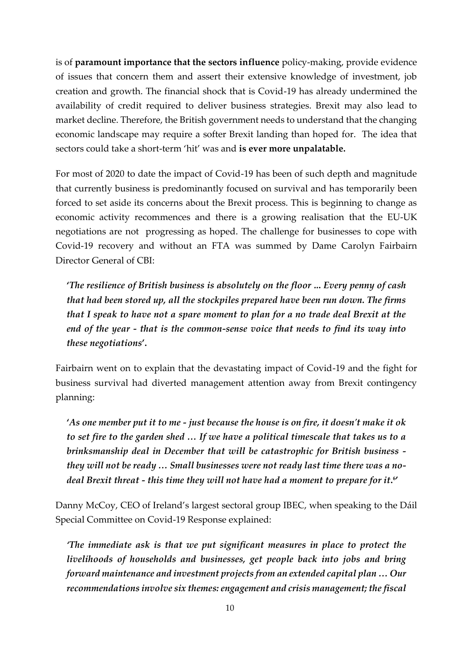is of **paramount importance that the sectors influence** policy-making, provide evidence of issues that concern them and assert their extensive knowledge of investment, job creation and growth. The financial shock that is Covid-19 has already undermined the availability of credit required to deliver business strategies. Brexit may also lead to market decline. Therefore, the British government needs to understand that the changing economic landscape may require a softer Brexit landing than hoped for. The idea that sectors could take a short-term 'hit' was and **is ever more unpalatable.**

For most of 2020 to date the impact of Covid-19 has been of such depth and magnitude that currently business is predominantly focused on survival and has temporarily been forced to set aside its concerns about the Brexit process. This is beginning to change as economic activity recommences and there is a growing realisation that the EU-UK negotiations are not progressing as hoped. The challenge for businesses to cope with Covid-19 recovery and without an FTA was summed by Dame Carolyn Fairbairn Director General of CBI:

**'***The resilience of British business is absolutely on the floor ..***.** *Every penny of cash that had been stored up, all the stockpiles prepared have been run down. The firms that I speak to have not a spare moment to plan for a no trade deal Brexit at the end of the year - that is the common-sense voice that needs to find its way into these negotiations***'.** 

Fairbairn went on to explain that the devastating impact of Covid-19 and the fight for business survival had diverted management attention away from Brexit contingency planning:

**'***As one member put it to me - just because the house is on fire, it doesn't make it ok to set fire to the garden shed … If we have a political timescale that takes us to a brinksmanship deal in December that will be catastrophic for British business they will not be ready … Small businesses were not ready last time there was a nodeal Brexit threat - this time they will not have had a moment to prepare for it***. 6 '**

Danny McCoy, CEO of Ireland's largest sectoral group IBEC, when speaking to the Dáil Special Committee on Covid-19 Response explained:

*'The immediate ask is that we put significant measures in place to protect the livelihoods of households and businesses, get people back into jobs and bring forward maintenance and investment projects from an extended capital plan … Our recommendations involve six themes: engagement and crisis management; the fiscal*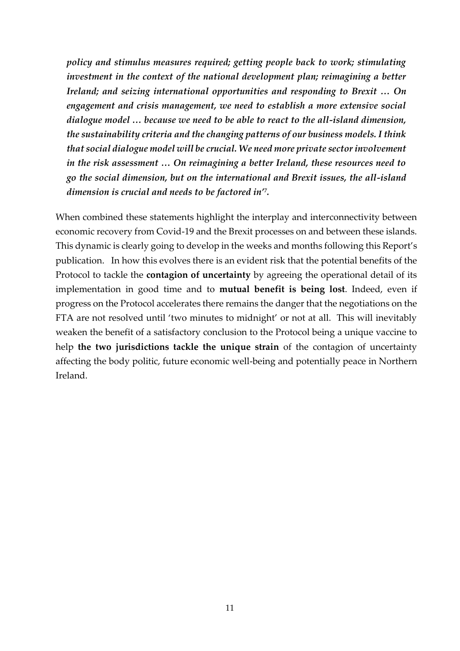*policy and stimulus measures required; getting people back to work; stimulating investment in the context of the national development plan; reimagining a better Ireland; and seizing international opportunities and responding to Brexit … On engagement and crisis management, we need to establish a more extensive social dialogue model … because we need to be able to react to the all-island dimension, the sustainability criteria and the changing patterns of our business models. I think that social dialogue model will be crucial. We need more private sector involvement in the risk assessment … On reimagining a better Ireland, these resources need to go the social dimension, but on the international and Brexit issues, the all-island dimension is crucial and needs to be factored in'<sup>7</sup> .*

When combined these statements highlight the interplay and interconnectivity between economic recovery from Covid-19 and the Brexit processes on and between these islands. This dynamic is clearly going to develop in the weeks and months following this Report's publication. In how this evolves there is an evident risk that the potential benefits of the Protocol to tackle the **contagion of uncertainty** by agreeing the operational detail of its implementation in good time and to **mutual benefit is being lost**. Indeed, even if progress on the Protocol accelerates there remains the danger that the negotiations on the FTA are not resolved until 'two minutes to midnight' or not at all. This will inevitably weaken the benefit of a satisfactory conclusion to the Protocol being a unique vaccine to help **the two jurisdictions tackle the unique strain** of the contagion of uncertainty affecting the body politic, future economic well-being and potentially peace in Northern Ireland.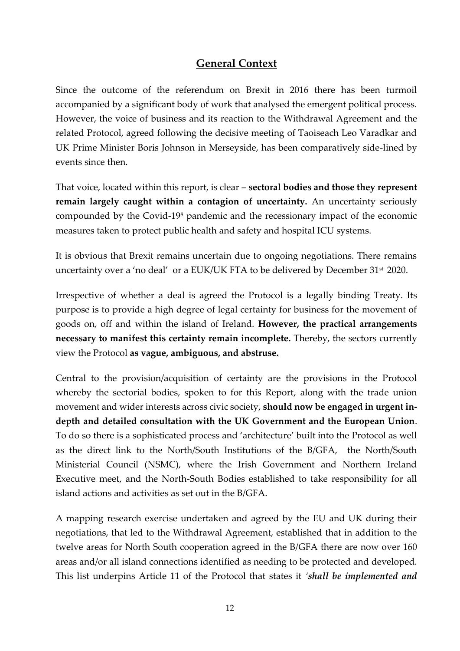## **General Context**

<span id="page-11-0"></span>Since the outcome of the referendum on Brexit in 2016 there has been turmoil accompanied by a significant body of work that analysed the emergent political process. However, the voice of business and its reaction to the Withdrawal Agreement and the related Protocol, agreed following the decisive meeting of Taoiseach Leo Varadkar and UK Prime Minister Boris Johnson in Merseyside, has been comparatively side-lined by events since then.

That voice, located within this report, is clear – **sectoral bodies and those they represent remain largely caught within a contagion of uncertainty.** An uncertainty seriously compounded by the Covid-19<sup>8</sup> pandemic and the recessionary impact of the economic measures taken to protect public health and safety and hospital ICU systems.

It is obvious that Brexit remains uncertain due to ongoing negotiations. There remains uncertainty over a 'no deal' or a EUK/UK FTA to be delivered by December 31<sup>st</sup> 2020.

Irrespective of whether a deal is agreed the Protocol is a legally binding Treaty. Its purpose is to provide a high degree of legal certainty for business for the movement of goods on, off and within the island of Ireland. **However, the practical arrangements necessary to manifest this certainty remain incomplete.** Thereby, the sectors currently view the Protocol **as vague, ambiguous, and abstruse.** 

Central to the provision/acquisition of certainty are the provisions in the Protocol whereby the sectorial bodies, spoken to for this Report, along with the trade union movement and wider interests across civic society, **should now be engaged in urgent indepth and detailed consultation with the UK Government and the European Union**. To do so there is a sophisticated process and 'architecture' built into the Protocol as well as the direct link to the North/South Institutions of the B/GFA, the North/South Ministerial Council (NSMC), where the Irish Government and Northern Ireland Executive meet, and the North-South Bodies established to take responsibility for all island actions and activities as set out in the B/GFA.

A mapping research exercise undertaken and agreed by the EU and UK during their negotiations, that led to the Withdrawal Agreement, established that in addition to the twelve areas for North South cooperation agreed in the B/GFA there are now over 160 areas and/or all island connections identified as needing to be protected and developed. This list underpins Article 11 of the Protocol that states it *'shall be implemented and*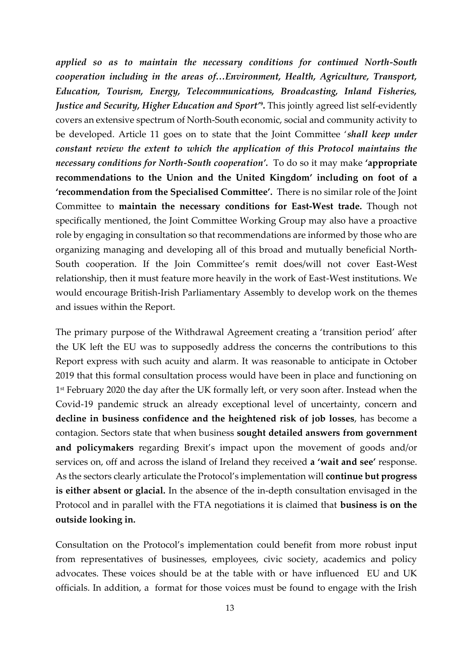*applied so as to maintain the necessary conditions for continued North-South cooperation including in the areas of…Environment, Health, Agriculture, Transport, Education, Tourism, Energy, Telecommunications, Broadcasting, Inland Fisheries, Justice and Security, Higher Education and Sport'***<sup>9</sup> .** This jointly agreed list self-evidently covers an extensive spectrum of North-South economic, social and community activity to be developed. Article 11 goes on to state that the Joint Committee '*shall keep under constant review the extent to which the application of this Protocol maintains the necessary conditions for North-South cooperation'.* To do so it may make **'appropriate recommendations to the Union and the United Kingdom' including on foot of a 'recommendation from the Specialised Committee'.** There is no similar role of the Joint Committee to **maintain the necessary conditions for East-West trade.** Though not specifically mentioned, the Joint Committee Working Group may also have a proactive role by engaging in consultation so that recommendations are informed by those who are organizing managing and developing all of this broad and mutually beneficial North-South cooperation. If the Join Committee's remit does/will not cover East-West relationship, then it must feature more heavily in the work of East-West institutions. We would encourage British-Irish Parliamentary Assembly to develop work on the themes and issues within the Report.

The primary purpose of the Withdrawal Agreement creating a 'transition period' after the UK left the EU was to supposedly address the concerns the contributions to this Report express with such acuity and alarm. It was reasonable to anticipate in October 2019 that this formal consultation process would have been in place and functioning on 1 st February 2020 the day after the UK formally left, or very soon after. Instead when the Covid-19 pandemic struck an already exceptional level of uncertainty, concern and **decline in business confidence and the heightened risk of job losses**, has become a contagion. Sectors state that when business **sought detailed answers from government and policymakers** regarding Brexit's impact upon the movement of goods and/or services on, off and across the island of Ireland they received **a 'wait and see'** response. As the sectors clearly articulate the Protocol's implementation will **continue but progress is either absent or glacial.** In the absence of the in-depth consultation envisaged in the Protocol and in parallel with the FTA negotiations it is claimed that **business is on the outside looking in.** 

Consultation on the Protocol's implementation could benefit from more robust input from representatives of businesses, employees, civic society, academics and policy advocates. These voices should be at the table with or have influenced EU and UK officials. In addition, a format for those voices must be found to engage with the Irish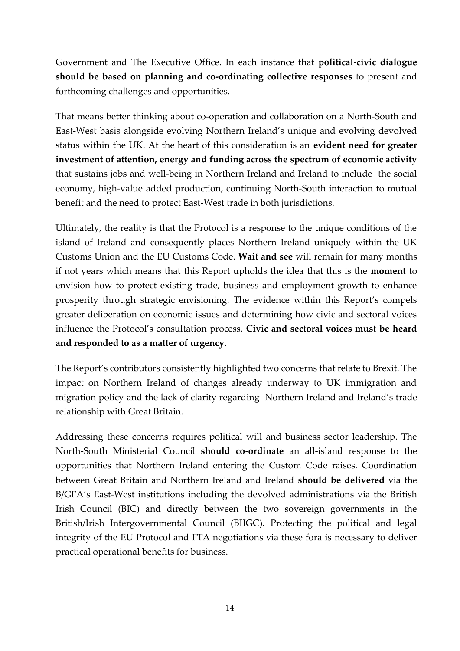Government and The Executive Office. In each instance that **political-civic dialogue should be based on planning and co-ordinating collective responses** to present and forthcoming challenges and opportunities.

That means better thinking about co-operation and collaboration on a North-South and East-West basis alongside evolving Northern Ireland's unique and evolving devolved status within the UK. At the heart of this consideration is an **evident need for greater investment of attention, energy and funding across the spectrum of economic activity** that sustains jobs and well-being in Northern Ireland and Ireland to include the social economy, high-value added production, continuing North-South interaction to mutual benefit and the need to protect East-West trade in both jurisdictions.

Ultimately, the reality is that the Protocol is a response to the unique conditions of the island of Ireland and consequently places Northern Ireland uniquely within the UK Customs Union and the EU Customs Code. **Wait and see** will remain for many months if not years which means that this Report upholds the idea that this is the **moment** to envision how to protect existing trade, business and employment growth to enhance prosperity through strategic envisioning. The evidence within this Report's compels greater deliberation on economic issues and determining how civic and sectoral voices influence the Protocol's consultation process. **Civic and sectoral voices must be heard and responded to as a matter of urgency.**

The Report's contributors consistently highlighted two concerns that relate to Brexit. The impact on Northern Ireland of changes already underway to UK immigration and migration policy and the lack of clarity regarding Northern Ireland and Ireland's trade relationship with Great Britain.

Addressing these concerns requires political will and business sector leadership. The North-South Ministerial Council **should co-ordinate** an all-island response to the opportunities that Northern Ireland entering the Custom Code raises. Coordination between Great Britain and Northern Ireland and Ireland **should be delivered** via the B/GFA's East-West institutions including the devolved administrations via the British Irish Council (BIC) and directly between the two sovereign governments in the British/Irish Intergovernmental Council (BIIGC). Protecting the political and legal integrity of the EU Protocol and FTA negotiations via these fora is necessary to deliver practical operational benefits for business.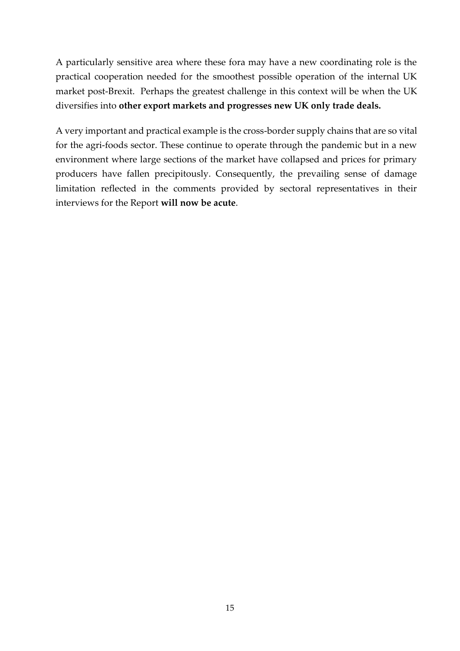A particularly sensitive area where these fora may have a new coordinating role is the practical cooperation needed for the smoothest possible operation of the internal UK market post-Brexit. Perhaps the greatest challenge in this context will be when the UK diversifies into **other export markets and progresses new UK only trade deals.** 

A very important and practical example is the cross-border supply chains that are so vital for the agri-foods sector. These continue to operate through the pandemic but in a new environment where large sections of the market have collapsed and prices for primary producers have fallen precipitously. Consequently, the prevailing sense of damage limitation reflected in the comments provided by sectoral representatives in their interviews for the Report **will now be acute**.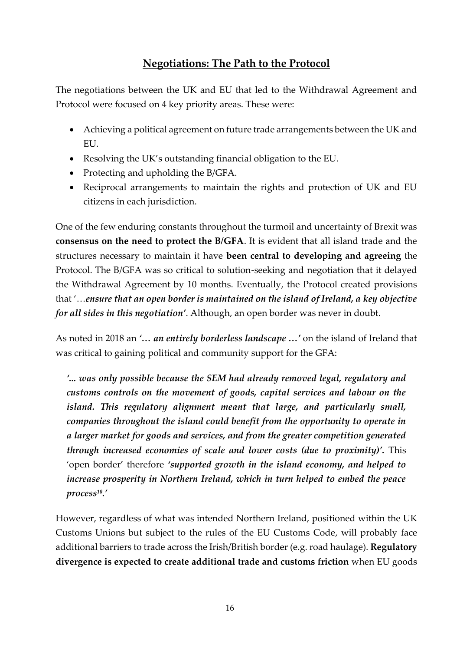# **Negotiations: The Path to the Protocol**

<span id="page-15-0"></span>The negotiations between the UK and EU that led to the Withdrawal Agreement and Protocol were focused on 4 key priority areas. These were:

- Achieving a political agreement on future trade arrangements between the UK and EU.
- Resolving the UK's outstanding financial obligation to the EU.
- Protecting and upholding the B/GFA.
- Reciprocal arrangements to maintain the rights and protection of UK and EU citizens in each jurisdiction.

One of the few enduring constants throughout the turmoil and uncertainty of Brexit was **consensus on the need to protect the B/GFA**. It is evident that all island trade and the structures necessary to maintain it have **been central to developing and agreeing** the Protocol. The B/GFA was so critical to solution-seeking and negotiation that it delayed the Withdrawal Agreement by 10 months. Eventually, the Protocol created provisions that '…*ensure that an open border is maintained on the island of Ireland, a key objective for all sides in this negotiation'*. Although, an open border was never in doubt.

As noted in 2018 an *'… an entirely borderless landscape …'* on the island of Ireland that was critical to gaining political and community support for the GFA:

*'... was only possible because the SEM had already removed legal, regulatory and customs controls on the movement of goods, capital services and labour on the island. This regulatory alignment meant that large, and particularly small, companies throughout the island could benefit from the opportunity to operate in a larger market for goods and services, and from the greater competition generated through increased economies of scale and lower costs (due to proximity)'.* This 'open border' therefore *'supported growth in the island economy, and helped to increase prosperity in Northern Ireland, which in turn helped to embed the peace process 10 .'*

However, regardless of what was intended Northern Ireland, positioned within the UK Customs Unions but subject to the rules of the EU Customs Code, will probably face additional barriers to trade across the Irish/British border (e.g. road haulage). **Regulatory divergence is expected to create additional trade and customs friction** when EU goods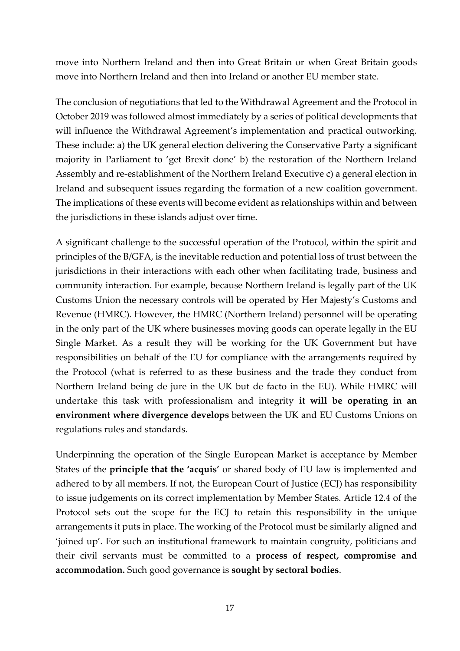move into Northern Ireland and then into Great Britain or when Great Britain goods move into Northern Ireland and then into Ireland or another EU member state.

The conclusion of negotiations that led to the Withdrawal Agreement and the Protocol in October 2019 was followed almost immediately by a series of political developments that will influence the Withdrawal Agreement's implementation and practical outworking. These include: a) the UK general election delivering the Conservative Party a significant majority in Parliament to 'get Brexit done' b) the restoration of the Northern Ireland Assembly and re-establishment of the Northern Ireland Executive c) a general election in Ireland and subsequent issues regarding the formation of a new coalition government. The implications of these events will become evident as relationships within and between the jurisdictions in these islands adjust over time.

A significant challenge to the successful operation of the Protocol, within the spirit and principles of the B/GFA, is the inevitable reduction and potential loss of trust between the jurisdictions in their interactions with each other when facilitating trade, business and community interaction. For example, because Northern Ireland is legally part of the UK Customs Union the necessary controls will be operated by Her Majesty's Customs and Revenue (HMRC). However, the HMRC (Northern Ireland) personnel will be operating in the only part of the UK where businesses moving goods can operate legally in the EU Single Market. As a result they will be working for the UK Government but have responsibilities on behalf of the EU for compliance with the arrangements required by the Protocol (what is referred to as these business and the trade they conduct from Northern Ireland being de jure in the UK but de facto in the EU). While HMRC will undertake this task with professionalism and integrity **it will be operating in an environment where divergence develops** between the UK and EU Customs Unions on regulations rules and standards.

Underpinning the operation of the Single European Market is acceptance by Member States of the **principle that the 'acquis'** or shared body of EU law is implemented and adhered to by all members. If not, the European Court of Justice (ECJ) has responsibility to issue judgements on its correct implementation by Member States. Article 12.4 of the Protocol sets out the scope for the ECJ to retain this responsibility in the unique arrangements it puts in place. The working of the Protocol must be similarly aligned and 'joined up'. For such an institutional framework to maintain congruity, politicians and their civil servants must be committed to a **process of respect, compromise and accommodation.** Such good governance is **sought by sectoral bodies**.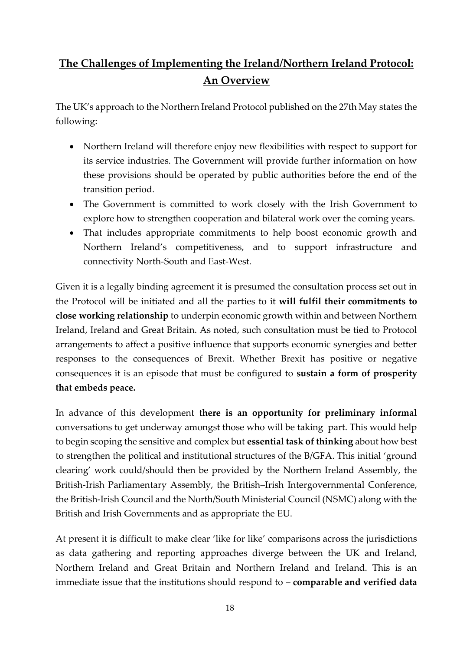# <span id="page-17-0"></span>**The Challenges of Implementing the Ireland/Northern Ireland Protocol: An Overview**

The UK's approach to the Northern Ireland Protocol published on the 27th May states the following:

- Northern Ireland will therefore enjoy new flexibilities with respect to support for its service industries. The Government will provide further information on how these provisions should be operated by public authorities before the end of the transition period.
- The Government is committed to work closely with the Irish Government to explore how to strengthen cooperation and bilateral work over the coming years.
- That includes appropriate commitments to help boost economic growth and Northern Ireland's competitiveness, and to support infrastructure and connectivity North-South and East-West.

Given it is a legally binding agreement it is presumed the consultation process set out in the Protocol will be initiated and all the parties to it **will fulfil their commitments to close working relationship** to underpin economic growth within and between Northern Ireland, Ireland and Great Britain. As noted, such consultation must be tied to Protocol arrangements to affect a positive influence that supports economic synergies and better responses to the consequences of Brexit. Whether Brexit has positive or negative consequences it is an episode that must be configured to **sustain a form of prosperity that embeds peace.** 

In advance of this development **there is an opportunity for preliminary informal** conversations to get underway amongst those who will be taking part. This would help to begin scoping the sensitive and complex but **essential task of thinking** about how best to strengthen the political and institutional structures of the B/GFA. This initial 'ground clearing' work could/should then be provided by the Northern Ireland Assembly, the British-Irish Parliamentary Assembly, the British–Irish Intergovernmental Conference, the British-Irish Council and the North/South Ministerial Council (NSMC) along with the British and Irish Governments and as appropriate the EU.

At present it is difficult to make clear 'like for like' comparisons across the jurisdictions as data gathering and reporting approaches diverge between the UK and Ireland, Northern Ireland and Great Britain and Northern Ireland and Ireland. This is an immediate issue that the institutions should respond to – **comparable and verified data**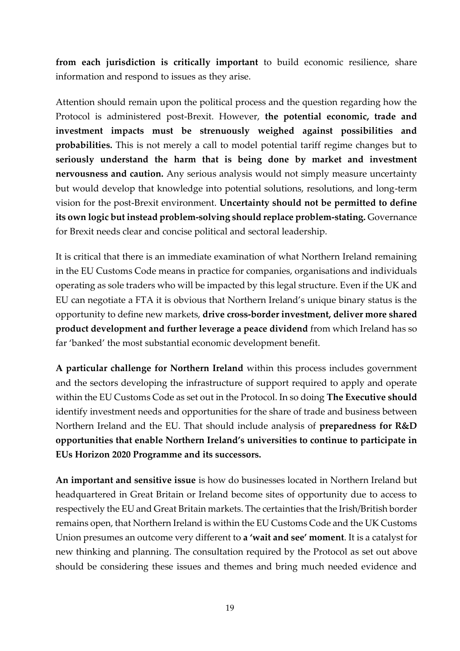**from each jurisdiction is critically important** to build economic resilience, share information and respond to issues as they arise.

Attention should remain upon the political process and the question regarding how the Protocol is administered post-Brexit. However, **the potential economic, trade and investment impacts must be strenuously weighed against possibilities and probabilities.** This is not merely a call to model potential tariff regime changes but to **seriously understand the harm that is being done by market and investment nervousness and caution.** Any serious analysis would not simply measure uncertainty but would develop that knowledge into potential solutions, resolutions, and long-term vision for the post-Brexit environment. **Uncertainty should not be permitted to define its own logic but instead problem-solving should replace problem-stating.** Governance for Brexit needs clear and concise political and sectoral leadership.

It is critical that there is an immediate examination of what Northern Ireland remaining in the EU Customs Code means in practice for companies, organisations and individuals operating as sole traders who will be impacted by this legal structure. Even if the UK and EU can negotiate a FTA it is obvious that Northern Ireland's unique binary status is the opportunity to define new markets, **drive cross-border investment, deliver more shared product development and further leverage a peace dividend** from which Ireland has so far 'banked' the most substantial economic development benefit.

**A particular challenge for Northern Ireland** within this process includes government and the sectors developing the infrastructure of support required to apply and operate within the EU Customs Code as set out in the Protocol. In so doing **The Executive should** identify investment needs and opportunities for the share of trade and business between Northern Ireland and the EU. That should include analysis of **preparedness for R&D opportunities that enable Northern Ireland's universities to continue to participate in EUs Horizon 2020 Programme and its successors.** 

**An important and sensitive issue** is how do businesses located in Northern Ireland but headquartered in Great Britain or Ireland become sites of opportunity due to access to respectively the EU and Great Britain markets. The certainties that the Irish/British border remains open, that Northern Ireland is within the EU Customs Code and the UK Customs Union presumes an outcome very different to **a 'wait and see' moment**. It is a catalyst for new thinking and planning. The consultation required by the Protocol as set out above should be considering these issues and themes and bring much needed evidence and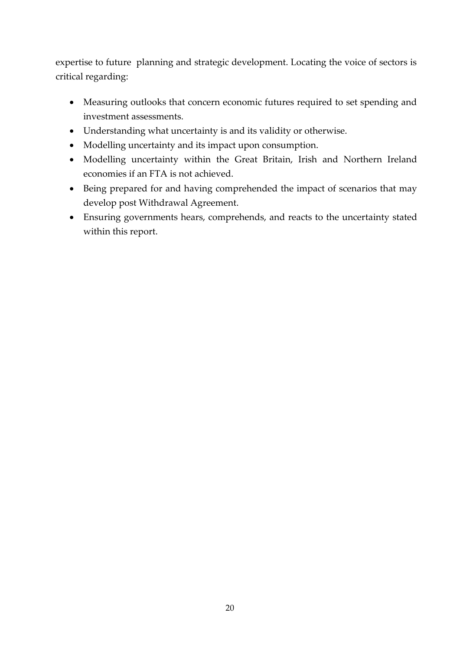expertise to future planning and strategic development. Locating the voice of sectors is critical regarding:

- Measuring outlooks that concern economic futures required to set spending and investment assessments.
- Understanding what uncertainty is and its validity or otherwise.
- Modelling uncertainty and its impact upon consumption.
- Modelling uncertainty within the Great Britain, Irish and Northern Ireland economies if an FTA is not achieved.
- Being prepared for and having comprehended the impact of scenarios that may develop post Withdrawal Agreement.
- Ensuring governments hears, comprehends, and reacts to the uncertainty stated within this report.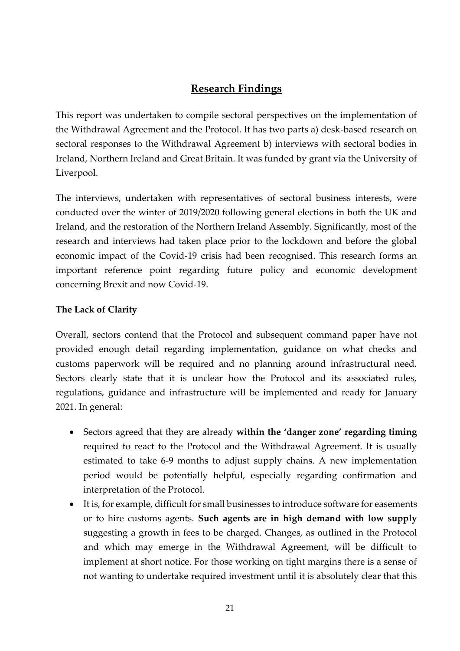# **Research Findings**

<span id="page-20-0"></span>This report was undertaken to compile sectoral perspectives on the implementation of the Withdrawal Agreement and the Protocol. It has two parts a) desk-based research on sectoral responses to the Withdrawal Agreement b) interviews with sectoral bodies in Ireland, Northern Ireland and Great Britain. It was funded by grant via the University of Liverpool.

The interviews, undertaken with representatives of sectoral business interests, were conducted over the winter of 2019/2020 following general elections in both the UK and Ireland, and the restoration of the Northern Ireland Assembly. Significantly, most of the research and interviews had taken place prior to the lockdown and before the global economic impact of the Covid-19 crisis had been recognised. This research forms an important reference point regarding future policy and economic development concerning Brexit and now Covid-19.

### <span id="page-20-1"></span>**The Lack of Clarity**

Overall, sectors contend that the Protocol and subsequent command paper have not provided enough detail regarding implementation, guidance on what checks and customs paperwork will be required and no planning around infrastructural need. Sectors clearly state that it is unclear how the Protocol and its associated rules, regulations, guidance and infrastructure will be implemented and ready for January 2021. In general:

- Sectors agreed that they are already **within the 'danger zone' regarding timing** required to react to the Protocol and the Withdrawal Agreement. It is usually estimated to take 6-9 months to adjust supply chains. A new implementation period would be potentially helpful, especially regarding confirmation and interpretation of the Protocol.
- It is, for example, difficult for small businesses to introduce software for easements or to hire customs agents. **Such agents are in high demand with low supply**  suggesting a growth in fees to be charged. Changes, as outlined in the Protocol and which may emerge in the Withdrawal Agreement, will be difficult to implement at short notice. For those working on tight margins there is a sense of not wanting to undertake required investment until it is absolutely clear that this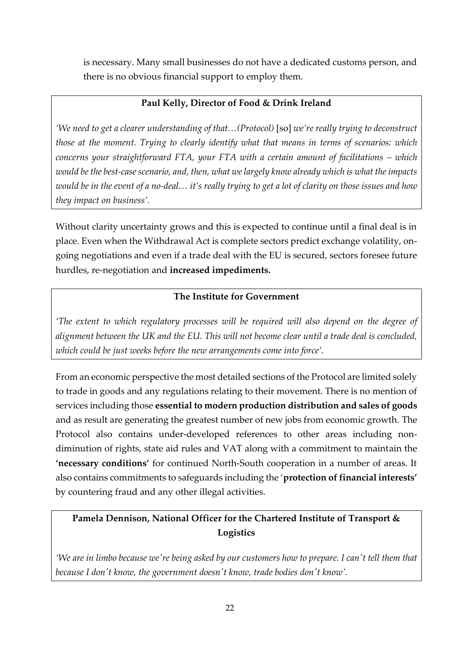is necessary. Many small businesses do not have a dedicated customs person, and there is no obvious financial support to employ them.

### **Paul Kelly, Director of Food & Drink Ireland**

*'We need to get a clearer understanding of that…(Protocol)* [so] *we're really trying to deconstruct those at the moment. Trying to clearly identify what that means in terms of scenarios: which concerns your straightforward FTA, your FTA with a certain amount of facilitations – which would be the best-case scenario, and, then, what we largely know already which is what the impacts would be in the event of a no-deal… it's really trying to get a lot of clarity on those issues and how they impact on business'.*

Without clarity uncertainty grows and this is expected to continue until a final deal is in place. Even when the Withdrawal Act is complete sectors predict exchange volatility, ongoing negotiations and even if a trade deal with the EU is secured, sectors foresee future hurdles, re-negotiation and **increased impediments.**

#### **The Institute for Government**

*'The extent to which regulatory processes will be required will also depend on the degree of alignment between the UK and the EU. This will not become clear until a trade deal is concluded, which could be just weeks before the new arrangements come into force'.*

From an economic perspective the most detailed sections of the Protocol are limited solely to trade in goods and any regulations relating to their movement. There is no mention of services including those **essential to modern production distribution and sales of goods** and as result are generating the greatest number of new jobs from economic growth. The Protocol also contains under-developed references to other areas including nondiminution of rights, state aid rules and VAT along with a commitment to maintain the **'necessary conditions'** for continued North-South cooperation in a number of areas. It also contains commitments to safeguards including the '**protection of financial interests'** by countering fraud and any other illegal activities.

# **Pamela Dennison, National Officer for the Chartered Institute of Transport & Logistics**

*'We are in limbo because we're being asked by our customers how to prepare. I can't tell them that because I don't know, the government doesn't know, trade bodies don't know'.*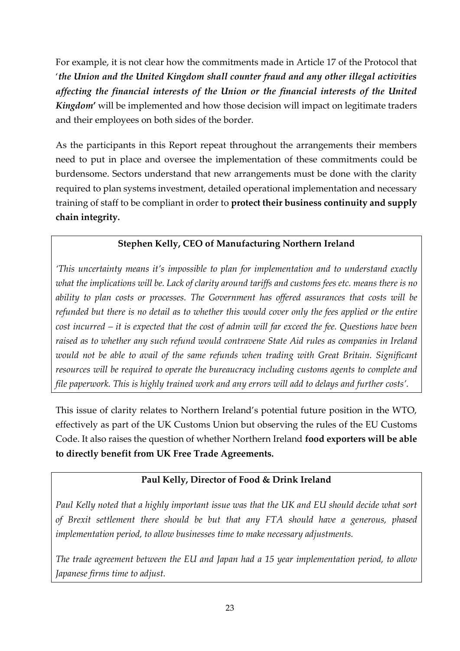For example, it is not clear how the commitments made in Article 17 of the Protocol that '*the Union and the United Kingdom shall counter fraud and any other illegal activities affecting the financial interests of the Union or the financial interests of the United Kingdom***'** will be implemented and how those decision will impact on legitimate traders and their employees on both sides of the border.

As the participants in this Report repeat throughout the arrangements their members need to put in place and oversee the implementation of these commitments could be burdensome. Sectors understand that new arrangements must be done with the clarity required to plan systems investment, detailed operational implementation and necessary training of staff to be compliant in order to **protect their business continuity and supply chain integrity.**

## **Stephen Kelly, CEO of Manufacturing Northern Ireland**

*'This uncertainty means it's impossible to plan for implementation and to understand exactly* what the implications will be. Lack of clarity around tariffs and customs fees etc. means there is no *ability to plan costs or processes. The Government has offered assurances that costs will be* refunded but there is no detail as to whether this would cover only the fees applied or the entire cost incurred – it is expected that the cost of admin will far exceed the fee. Questions have been *raised as to whether any such refund would contravene State Aid rules as companies in Ireland would not be able to avail of the same refunds when trading with Great Britain. Significant resources will be required to operate the bureaucracy including customs agents to complete and* file paperwork. This is highly trained work and any errors will add to delays and further costs'.

This issue of clarity relates to Northern Ireland's potential future position in the WTO, effectively as part of the UK Customs Union but observing the rules of the EU Customs Code. It also raises the question of whether Northern Ireland **food exporters will be able to directly benefit from UK Free Trade Agreements.**

### **Paul Kelly, Director of Food & Drink Ireland**

*Paul Kelly noted that a highly important issue was that the UK and EU should decide what sort of Brexit settlement there should be but that any FTA should have a generous, phased implementation period, to allow businesses time to make necessary adjustments.* 

*The trade agreement between the EU and Japan had a 15 year implementation period, to allow Japanese firms time to adjust.*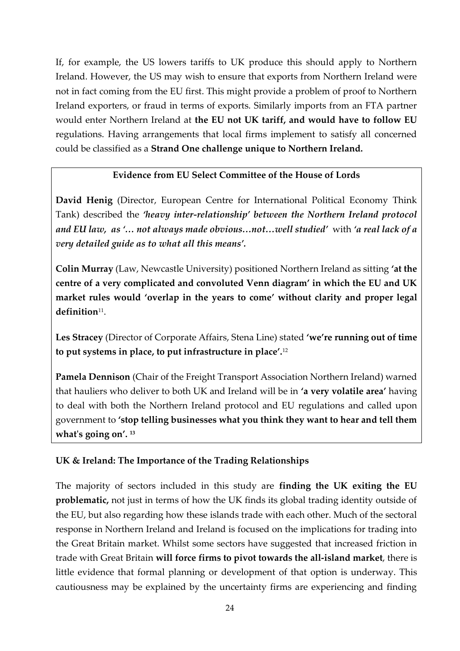If, for example, the US lowers tariffs to UK produce this should apply to Northern Ireland. However, the US may wish to ensure that exports from Northern Ireland were not in fact coming from the EU first. This might provide a problem of proof to Northern Ireland exporters, or fraud in terms of exports. Similarly imports from an FTA partner would enter Northern Ireland at **the EU not UK tariff, and would have to follow EU** regulations. Having arrangements that local firms implement to satisfy all concerned could be classified as a **Strand One challenge unique to Northern Ireland.**

#### **Evidence from EU Select Committee of the House of Lords**

**David Henig** (Director, European Centre for International Political Economy Think Tank) described the *'heavy inter-relationship' between the Northern Ireland protocol and EU law, as '… not always made obvious…not…well studied'* with *'a real lack of a very detailed guide as to what all this means'.* 

**Colin Murray** (Law, Newcastle University) positioned Northern Ireland as sitting **'at the centre of a very complicated and convoluted Venn diagram' in which the EU and UK market rules would 'overlap in the years to come' without clarity and proper legal definition**<sup>11</sup> .

**Les Stracey** (Director of Corporate Affairs, Stena Line) stated **'we're running out of time to put systems in place, to put infrastructure in place'.**<sup>12</sup>

**Pamela Dennison** (Chair of the Freight Transport Association Northern Ireland) warned that hauliers who deliver to both UK and Ireland will be in **'a very volatile area'** having to deal with both the Northern Ireland protocol and EU regulations and called upon government to **'stop telling businesses what you think they want to hear and tell them what's going on'. <sup>13</sup>**

#### <span id="page-23-0"></span>**UK & Ireland: The Importance of the Trading Relationships**

The majority of sectors included in this study are **finding the UK exiting the EU problematic,** not just in terms of how the UK finds its global trading identity outside of the EU, but also regarding how these islands trade with each other. Much of the sectoral response in Northern Ireland and Ireland is focused on the implications for trading into the Great Britain market. Whilst some sectors have suggested that increased friction in trade with Great Britain **will force firms to pivot towards the all-island market**, there is little evidence that formal planning or development of that option is underway. This cautiousness may be explained by the uncertainty firms are experiencing and finding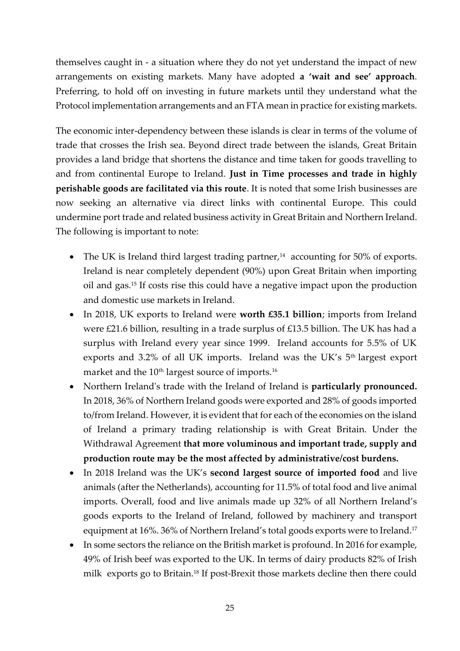themselves caught in - a situation where they do not yet understand the impact of new arrangements on existing markets. Many have adopted **a 'wait and see' approach**. Preferring, to hold off on investing in future markets until they understand what the Protocol implementation arrangements and an FTA mean in practice for existing markets.

The economic inter-dependency between these islands is clear in terms of the volume of trade that crosses the Irish sea. Beyond direct trade between the islands, Great Britain provides a land bridge that shortens the distance and time taken for goods travelling to and from continental Europe to Ireland. **Just in Time processes and trade in highly perishable goods are facilitated via this route**. It is noted that some Irish businesses are now seeking an alternative via direct links with continental Europe. This could undermine port trade and related business activity in Great Britain and Northern Ireland. The following is important to note:

- The UK is Ireland third largest trading partner,<sup>14</sup> accounting for 50% of exports. Ireland is near completely dependent (90%) upon Great Britain when importing oil and gas.<sup>15</sup> If costs rise this could have a negative impact upon the production and domestic use markets in Ireland.
- In 2018, UK exports to Ireland were **worth £35.1 billion**; imports from Ireland were £21.6 billion, resulting in a trade surplus of £13.5 billion. The UK has had a surplus with Ireland every year since 1999. Ireland accounts for 5.5% of UK exports and 3.2% of all UK imports. Ireland was the UK's 5<sup>th</sup> largest export market and the 10<sup>th</sup> largest source of imports.<sup>16</sup>
- Northern Ireland's trade with the Ireland of Ireland is **particularly pronounced.** In 2018, 36% of Northern Ireland goods were exported and 28% of goods imported to/from Ireland. However, it is evident that for each of the economies on the island of Ireland a primary trading relationship is with Great Britain. Under the Withdrawal Agreement **that more voluminous and important trade, supply and production route may be the most affected by administrative/cost burdens.**
- In 2018 Ireland was the UK's **second largest source of imported food** and live animals (after the Netherlands), accounting for 11.5% of total food and live animal imports. Overall, food and live animals made up 32% of all Northern Ireland's goods exports to the Ireland of Ireland, followed by machinery and transport equipment at 16%. 36% of Northern Ireland's total goods exports were to Ireland.<sup>17</sup>
- In some sectors the reliance on the British market is profound. In 2016 for example, 49% of Irish beef was exported to the UK. In terms of dairy products 82% of Irish milk exports go to Britain.<sup>18</sup> If post-Brexit those markets decline then there could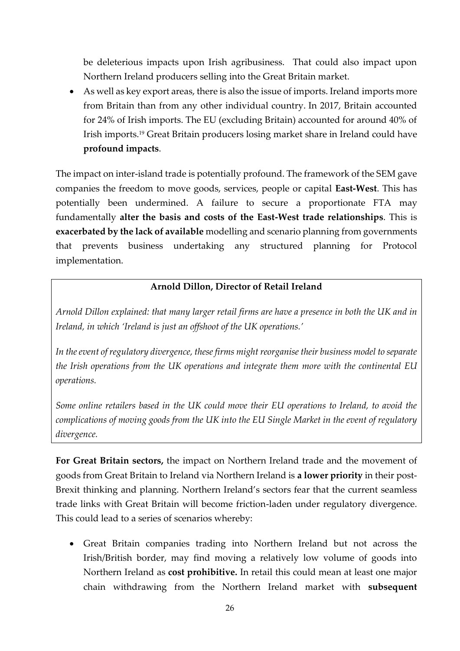be deleterious impacts upon Irish agribusiness. That could also impact upon Northern Ireland producers selling into the Great Britain market.

• As well as key export areas, there is also the issue of imports. Ireland imports more from Britain than from any other individual country. In 2017, Britain accounted for 24% of Irish imports. The EU (excluding Britain) accounted for around 40% of Irish imports.<sup>19</sup> Great Britain producers losing market share in Ireland could have **profound impacts**.

The impact on inter-island trade is potentially profound. The framework of the SEM gave companies the freedom to move goods, services, people or capital **East-West**. This has potentially been undermined. A failure to secure a proportionate FTA may fundamentally **alter the basis and costs of the East-West trade relationships**. This is **exacerbated by the lack of available** modelling and scenario planning from governments that prevents business undertaking any structured planning for Protocol implementation.

#### **Arnold Dillon, Director of Retail Ireland**

*Arnold Dillon explained: that many larger retail firms are have a presence in both the UK and in Ireland, in which 'Ireland is just an offshoot of the UK operations.'*

*In the event of regulatory divergence, these firms might reorganise their business model to separate the Irish operations from the UK operations and integrate them more with the continental EU operations.* 

*Some online retailers based in the UK could move their EU operations to Ireland, to avoid the complications of moving goods from the UK into the EU Single Market in the event of regulatory divergence.*

**For Great Britain sectors,** the impact on Northern Ireland trade and the movement of goods from Great Britain to Ireland via Northern Ireland is **a lower priority** in their post-Brexit thinking and planning. Northern Ireland's sectors fear that the current seamless trade links with Great Britain will become friction-laden under regulatory divergence. This could lead to a series of scenarios whereby:

• Great Britain companies trading into Northern Ireland but not across the Irish/British border, may find moving a relatively low volume of goods into Northern Ireland as **cost prohibitive.** In retail this could mean at least one major chain withdrawing from the Northern Ireland market with **subsequent**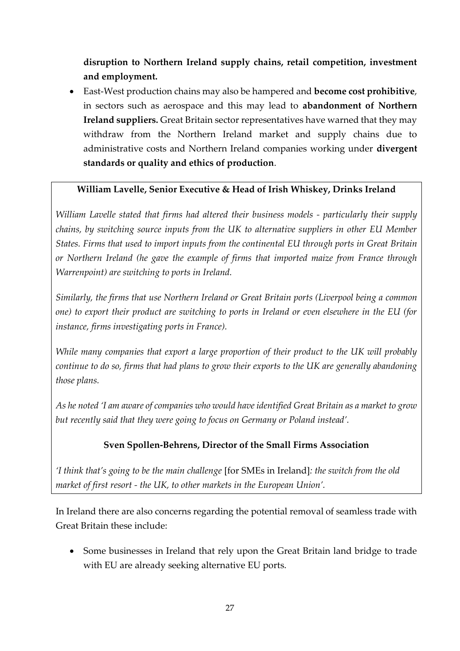**disruption to Northern Ireland supply chains, retail competition, investment and employment.**

• East-West production chains may also be hampered and **become cost prohibitive**, in sectors such as aerospace and this may lead to **abandonment of Northern Ireland suppliers.** Great Britain sector representatives have warned that they may withdraw from the Northern Ireland market and supply chains due to administrative costs and Northern Ireland companies working under **divergent standards or quality and ethics of production**.

#### **William Lavelle, Senior Executive & Head of Irish Whiskey, Drinks Ireland**

*William Lavelle stated that firms had altered their business models - particularly their supply chains, by switching source inputs from the UK to alternative suppliers in other EU Member States. Firms that used to import inputs from the continental EU through ports in Great Britain or Northern Ireland (he gave the example of firms that imported maize from France through Warrenpoint) are switching to ports in Ireland.* 

*Similarly, the firms that use Northern Ireland or Great Britain ports (Liverpool being a common one) to export their product are switching to ports in Ireland or even elsewhere in the EU (for instance, firms investigating ports in France).* 

*While many companies that export a large proportion of their product to the UK will probably continue to do so, firms that had plans to grow their exports to the UK are generally abandoning those plans.* 

*As he noted 'I am aware of companies who would have identified Great Britain as a market to grow but recently said that they were going to focus on Germany or Poland instead'.*

### **Sven Spollen-Behrens, Director of the Small Firms Association**

*'I think that's going to be the main challenge* [for SMEs in Ireland]*: the switch from the old market of first resort - the UK, to other markets in the European Union'.*

In Ireland there are also concerns regarding the potential removal of seamless trade with Great Britain these include:

• Some businesses in Ireland that rely upon the Great Britain land bridge to trade with EU are already seeking alternative EU ports.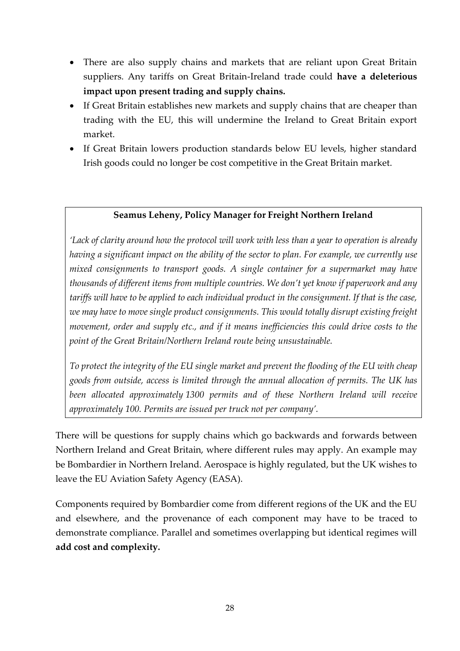- There are also supply chains and markets that are reliant upon Great Britain suppliers. Any tariffs on Great Britain-Ireland trade could **have a deleterious impact upon present trading and supply chains.**
- If Great Britain establishes new markets and supply chains that are cheaper than trading with the EU, this will undermine the Ireland to Great Britain export market.
- If Great Britain lowers production standards below EU levels, higher standard Irish goods could no longer be cost competitive in the Great Britain market.

#### **Seamus Leheny, Policy Manager for Freight Northern Ireland**

*'Lack of clarity around how the protocol will work with less than a year to operation is already having a significant impact on the ability of the sector to plan. For example, we currently use mixed consignments to transport goods. A single container for a supermarket may have thousands of different items from multiple countries. We don't yet know if paperwork and any* tariffs will have to be applied to each individual product in the consignment. If that is the case, *we may have to move single product consignments. This would totally disrupt existing freight movement, order and supply etc., and if it means inefficiencies this could drive costs to the point of the Great Britain/Northern Ireland route being unsustainable.*

*To protect the integrity of the EU single market and prevent the flooding of the EU with cheap goods from outside, access is limited through the annual allocation of permits. The UK has been allocated approximately 1300 permits and of these Northern Ireland will receive approximately 100. Permits are issued per truck not per company'.*

There will be questions for supply chains which go backwards and forwards between Northern Ireland and Great Britain, where different rules may apply. An example may be Bombardier in Northern Ireland. Aerospace is highly regulated, but the UK wishes to leave the EU Aviation Safety Agency (EASA).

Components required by Bombardier come from different regions of the UK and the EU and elsewhere, and the provenance of each component may have to be traced to demonstrate compliance. Parallel and sometimes overlapping but identical regimes will **add cost and complexity.**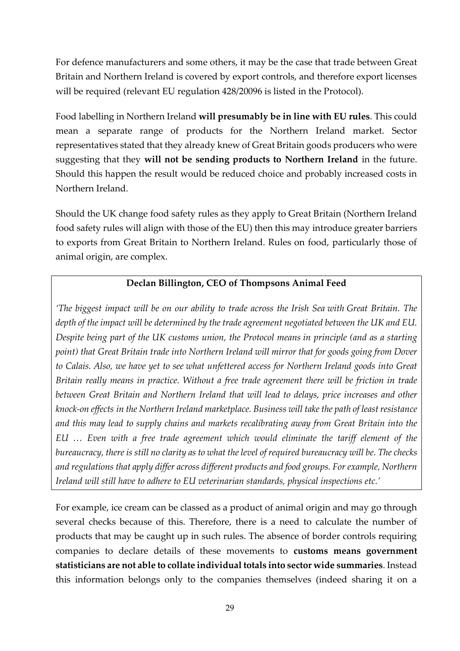For defence manufacturers and some others, it may be the case that trade between Great Britain and Northern Ireland is covered by export controls, and therefore export licenses will be required (relevant EU regulation 428/20096 is listed in the Protocol).

Food labelling in Northern Ireland **will presumably be in line with EU rules**. This could mean a separate range of products for the Northern Ireland market. Sector representatives stated that they already knew of Great Britain goods producers who were suggesting that they **will not be sending products to Northern Ireland** in the future. Should this happen the result would be reduced choice and probably increased costs in Northern Ireland.

Should the UK change food safety rules as they apply to Great Britain (Northern Ireland food safety rules will align with those of the EU) then this may introduce greater barriers to exports from Great Britain to Northern Ireland. Rules on food, particularly those of animal origin, are complex.

#### **Declan Billington, CEO of Thompsons Animal Feed**

*'The biggest impact will be on our ability to trade across the Irish Sea with Great Britain. The depth of the impact will be determined by the trade agreement negotiated between the UK and EU. Despite being part of the UK customs union, the Protocol means in principle (and as a starting point) that Great Britain trade into Northern Ireland will mirror that for goods going from Dover to Calais. Also, we have yet to see what unfettered access for Northern Ireland goods into Great Britain really means in practice. Without a free trade agreement there will be friction in trade between Great Britain and Northern Ireland that will lead to delays, price increases and other knock-on effects in the Northern Ireland marketplace. Business will take the path of least resistance and this may lead to supply chains and markets recalibrating away from Great Britain into the EU … Even with a free trade agreement which would eliminate the tariff element of the* bureaucracy, there is still no clarity as to what the level of required bureaucracy will be. The checks *and regulations that apply differ across different products and food groups. For example, Northern Ireland will still have to adhere to EU veterinarian standards, physical inspections etc.'*

For example, ice cream can be classed as a product of animal origin and may go through several checks because of this. Therefore, there is a need to calculate the number of products that may be caught up in such rules. The absence of border controls requiring companies to declare details of these movements to **customs means government statisticians are not able to collate individual totals into sector wide summaries**. Instead this information belongs only to the companies themselves (indeed sharing it on a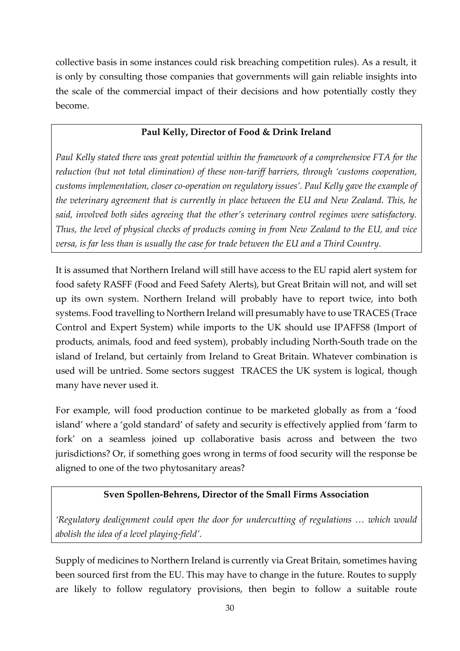collective basis in some instances could risk breaching competition rules). As a result, it is only by consulting those companies that governments will gain reliable insights into the scale of the commercial impact of their decisions and how potentially costly they become.

#### **Paul Kelly, Director of Food & Drink Ireland**

*Paul Kelly stated there was great potential within the framework of a comprehensive FTA for the reduction (but not total elimination) of these non-tariff barriers, through 'customs cooperation, customs implementation, closer co-operation on regulatory issues'. Paul Kelly gave the example of the veterinary agreement that is currently in place between the EU and New Zealand. This, he said, involved both sides agreeing that the other's veterinary control regimes were satisfactory. Thus, the level of physical checks of products coming in from New Zealand to the EU, and vice versa, is far less than is usually the case for trade between the EU and a Third Country.*

It is assumed that Northern Ireland will still have access to the EU rapid alert system for food safety RASFF (Food and Feed Safety Alerts), but Great Britain will not, and will set up its own system. Northern Ireland will probably have to report twice, into both systems. Food travelling to Northern Ireland will presumably have to use TRACES (Trace Control and Expert System) while imports to the UK should use IPAFFS8 (Import of products, animals, food and feed system), probably including North-South trade on the island of Ireland, but certainly from Ireland to Great Britain. Whatever combination is used will be untried. Some sectors suggest TRACES the UK system is logical, though many have never used it.

For example, will food production continue to be marketed globally as from a 'food island' where a 'gold standard' of safety and security is effectively applied from 'farm to fork' on a seamless joined up collaborative basis across and between the two jurisdictions? Or, if something goes wrong in terms of food security will the response be aligned to one of the two phytosanitary areas?

### **Sven Spollen-Behrens, Director of the Small Firms Association**

*'Regulatory dealignment could open the door for undercutting of regulations … which would abolish the idea of a level playing-field'.*

Supply of medicines to Northern Ireland is currently via Great Britain, sometimes having been sourced first from the EU. This may have to change in the future. Routes to supply are likely to follow regulatory provisions, then begin to follow a suitable route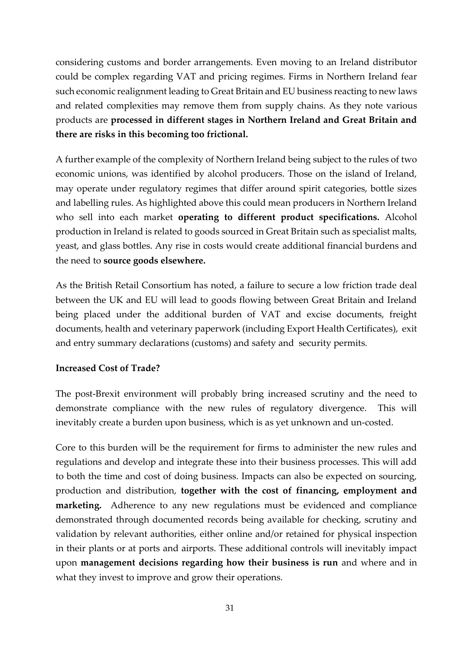considering customs and border arrangements. Even moving to an Ireland distributor could be complex regarding VAT and pricing regimes. Firms in Northern Ireland fear such economic realignment leading to Great Britain and EU business reacting to new laws and related complexities may remove them from supply chains. As they note various products are **processed in different stages in Northern Ireland and Great Britain and there are risks in this becoming too frictional.**

A further example of the complexity of Northern Ireland being subject to the rules of two economic unions, was identified by alcohol producers. Those on the island of Ireland, may operate under regulatory regimes that differ around spirit categories, bottle sizes and labelling rules. As highlighted above this could mean producers in Northern Ireland who sell into each market **operating to different product specifications.** Alcohol production in Ireland is related to goods sourced in Great Britain such as specialist malts, yeast, and glass bottles. Any rise in costs would create additional financial burdens and the need to **source goods elsewhere.**

As the British Retail Consortium has noted, a failure to secure a low friction trade deal between the UK and EU will lead to goods flowing between Great Britain and Ireland being placed under the additional burden of VAT and excise documents, freight documents, health and veterinary paperwork (including Export Health Certificates), exit and entry summary declarations (customs) and safety and security permits.

#### <span id="page-30-0"></span>**Increased Cost of Trade?**

The post-Brexit environment will probably bring increased scrutiny and the need to demonstrate compliance with the new rules of regulatory divergence. This will inevitably create a burden upon business, which is as yet unknown and un-costed.

Core to this burden will be the requirement for firms to administer the new rules and regulations and develop and integrate these into their business processes. This will add to both the time and cost of doing business. Impacts can also be expected on sourcing, production and distribution, **together with the cost of financing, employment and marketing.** Adherence to any new regulations must be evidenced and compliance demonstrated through documented records being available for checking, scrutiny and validation by relevant authorities, either online and/or retained for physical inspection in their plants or at ports and airports. These additional controls will inevitably impact upon **management decisions regarding how their business is run** and where and in what they invest to improve and grow their operations.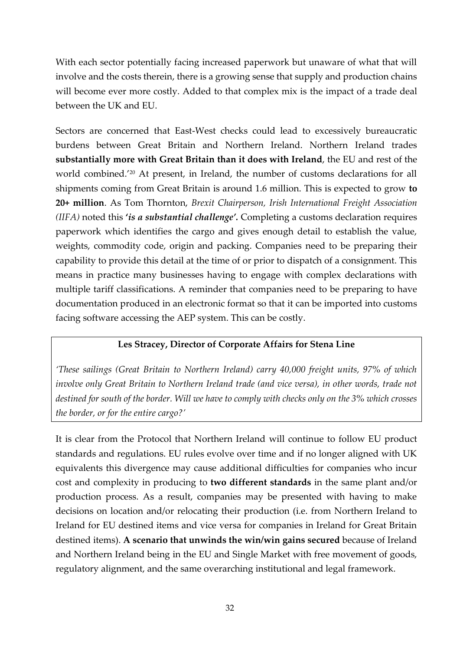With each sector potentially facing increased paperwork but unaware of what that will involve and the costs therein, there is a growing sense that supply and production chains will become ever more costly. Added to that complex mix is the impact of a trade deal between the UK and EU.

Sectors are concerned that East-West checks could lead to excessively bureaucratic burdens between Great Britain and Northern Ireland. Northern Ireland trades **substantially more with Great Britain than it does with Ireland**, the EU and rest of the world combined.'<sup>20</sup> At present, in Ireland, the number of customs declarations for all shipments coming from Great Britain is around 1.6 million. This is expected to grow **to 20+ million**. As Tom Thornton, *Brexit Chairperson, Irish International Freight Association (IIFA)* noted this **'***is a substantial challenge'.* Completing a customs declaration requires paperwork which identifies the cargo and gives enough detail to establish the value, weights, commodity code, origin and packing. Companies need to be preparing their capability to provide this detail at the time of or prior to dispatch of a consignment. This means in practice many businesses having to engage with complex declarations with multiple tariff classifications. A reminder that companies need to be preparing to have documentation produced in an electronic format so that it can be imported into customs facing software accessing the AEP system. This can be costly.

#### **Les Stracey, Director of Corporate Affairs for Stena Line**

*'These sailings (Great Britain to Northern Ireland) carry 40,000 freight units, 97% of which involve only Great Britain to Northern Ireland trade (and vice versa), in other words, trade not destined for south of the border. Will we have to comply with checks only on the 3% which crosses the border, or for the entire cargo?'*

It is clear from the Protocol that Northern Ireland will continue to follow EU product standards and regulations. EU rules evolve over time and if no longer aligned with UK equivalents this divergence may cause additional difficulties for companies who incur cost and complexity in producing to **two different standards** in the same plant and/or production process. As a result, companies may be presented with having to make decisions on location and/or relocating their production (i.e. from Northern Ireland to Ireland for EU destined items and vice versa for companies in Ireland for Great Britain destined items). **A scenario that unwinds the win/win gains secured** because of Ireland and Northern Ireland being in the EU and Single Market with free movement of goods, regulatory alignment, and the same overarching institutional and legal framework.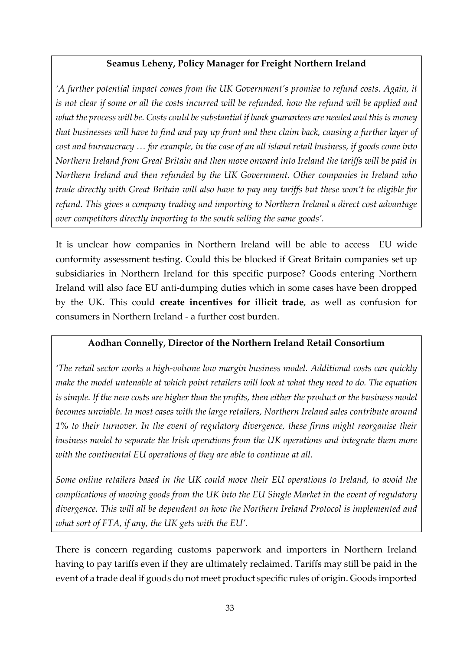#### **Seamus Leheny, Policy Manager for Freight Northern Ireland**

*'A further potential impact comes from the UK Government's promise to refund costs. Again, it* is not clear if some or all the costs incurred will be refunded, how the refund will be applied and what the process will be. Costs could be substantial if bank guarantees are needed and this is money that businesses will have to find and pay up front and then claim back, causing a further layer of cost and bureaucracy ... for example, in the case of an all island retail business, if goods come into *Northern Ireland from Great Britain and then move onward into Ireland the tariffs will be paid in Northern Ireland and then refunded by the UK Government. Other companies in Ireland who* trade directly with Great Britain will also have to pay any tariffs but these won't be eligible for *refund. This gives a company trading and importing to Northern Ireland a direct cost advantage over competitors directly importing to the south selling the same goods'.*

It is unclear how companies in Northern Ireland will be able to access EU wide conformity assessment testing. Could this be blocked if Great Britain companies set up subsidiaries in Northern Ireland for this specific purpose? Goods entering Northern Ireland will also face EU anti-dumping duties which in some cases have been dropped by the UK. This could **create incentives for illicit trade**, as well as confusion for consumers in Northern Ireland - a further cost burden.

### **Aodhan Connelly, Director of the Northern Ireland Retail Consortium**

*'The retail sector works a high-volume low margin business model. Additional costs can quickly make the model untenable at which point retailers will look at what they need to do. The equation* is simple. If the new costs are higher than the profits, then either the product or the business model *becomes unviable. In most cases with the large retailers, Northern Ireland sales contribute around 1% to their turnover. In the event of regulatory divergence, these firms might reorganise their business model to separate the Irish operations from the UK operations and integrate them more with the continental EU operations of they are able to continue at all.*

*Some online retailers based in the UK could move their EU operations to Ireland, to avoid the complications of moving goods from the UK into the EU Single Market in the event of regulatory divergence. This will all be dependent on how the Northern Ireland Protocol is implemented and what sort of FTA, if any, the UK gets with the EU'.*

There is concern regarding customs paperwork and importers in Northern Ireland having to pay tariffs even if they are ultimately reclaimed. Tariffs may still be paid in the event of a trade deal if goods do not meet product specific rules of origin. Goods imported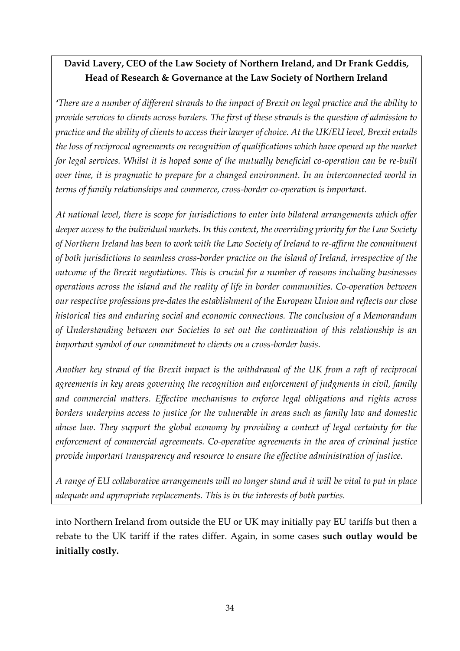# **David Lavery, CEO of the Law Society of Northern Ireland, and Dr Frank Geddis, Head of Research & Governance at the Law Society of Northern Ireland**

*'There are a number of different strands to the impact of Brexit on legal practice and the ability to provide services to clients across borders. The first of these strands is the question of admission to practice and the ability of clients to access their lawyer of choice. At the UK/EU level, Brexit entails the loss of reciprocal agreements on recognition of qualifications which have opened up the market for legal services. Whilst it is hoped some of the mutually beneficial co-operation can be re-built over time, it is pragmatic to prepare for a changed environment. In an interconnected world in terms of family relationships and commerce, cross-border co-operation is important.*

*At national level, there is scope for jurisdictions to enter into bilateral arrangements which offer deeper access to the individual markets. In this context, the overriding priority for the Law Society of Northern Ireland has been to work with the Law Society of Ireland to re-affirm the commitment of both jurisdictions to seamless cross-border practice on the island of Ireland, irrespective of the outcome of the Brexit negotiations. This is crucial for a number of reasons including businesses operations across the island and the reality of life in border communities. Co-operation between our respective professions pre-dates the establishment of the European Union and reflects our close historical ties and enduring social and economic connections. The conclusion of a Memorandum of Understanding between our Societies to set out the continuation of this relationship is an important symbol of our commitment to clients on a cross-border basis.* 

*Another key strand of the Brexit impact is the withdrawal of the UK from a raft of reciprocal agreements in key areas governing the recognition and enforcement of judgments in civil, family and commercial matters. Effective mechanisms to enforce legal obligations and rights across borders underpins access to justice for the vulnerable in areas such as family law and domestic abuse law. They support the global economy by providing a context of legal certainty for the enforcement of commercial agreements. Co-operative agreements in the area of criminal justice provide important transparency and resource to ensure the effective administration of justice.* 

*A range of EU collaborative arrangements will no longer stand and it will be vital to put in place adequate and appropriate replacements. This is in the interests of both parties.* 

into Northern Ireland from outside the EU or UK may initially pay EU tariffs but then a rebate to the UK tariff if the rates differ. Again, in some cases **such outlay would be initially costly.**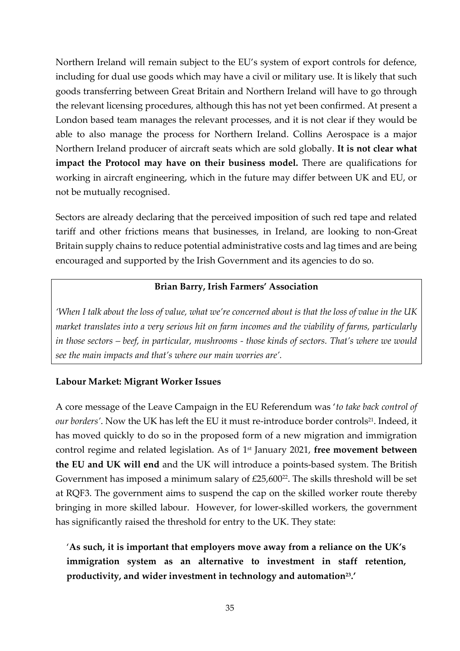Northern Ireland will remain subject to the EU's system of export controls for defence, including for dual use goods which may have a civil or military use. It is likely that such goods transferring between Great Britain and Northern Ireland will have to go through the relevant licensing procedures, although this has not yet been confirmed. At present a London based team manages the relevant processes, and it is not clear if they would be able to also manage the process for Northern Ireland. Collins Aerospace is a major Northern Ireland producer of aircraft seats which are sold globally. **It is not clear what impact the Protocol may have on their business model.** There are qualifications for working in aircraft engineering, which in the future may differ between UK and EU, or not be mutually recognised.

Sectors are already declaring that the perceived imposition of such red tape and related tariff and other frictions means that businesses, in Ireland, are looking to non-Great Britain supply chains to reduce potential administrative costs and lag times and are being encouraged and supported by the Irish Government and its agencies to do so.

#### **Brian Barry, Irish Farmers' Association**

*'When I talk about the loss of value, what we're concerned about is that the loss of value in the UK market translates into a very serious hit on farm incomes and the viability of farms, particularly in those sectors – beef, in particular, mushrooms - those kinds of sectors. That's where we would see the main impacts and that's where our main worries are'.*

#### <span id="page-34-0"></span>**Labour Market: Migrant Worker Issues**

A core message of the Leave Campaign in the EU Referendum was '*to take back control of our borders'*. Now the UK has left the EU it must re-introduce border controls<sup>21</sup>. Indeed, it has moved quickly to do so in the proposed form of a new migration and immigration control regime and related legislation. As of 1st January 2021, **free movement between the EU and UK will end** and the UK will introduce a points-based system. The British Government has imposed a minimum salary of  $£25,600^{22}$ . The skills threshold will be set at RQF3. The government aims to suspend the cap on the skilled worker route thereby bringing in more skilled labour. However, for lower-skilled workers, the government has significantly raised the threshold for entry to the UK. They state:

'**As such, it is important that employers move away from a reliance on the UK's immigration system as an alternative to investment in staff retention, productivity, and wider investment in technology and automation<sup>23</sup> .'**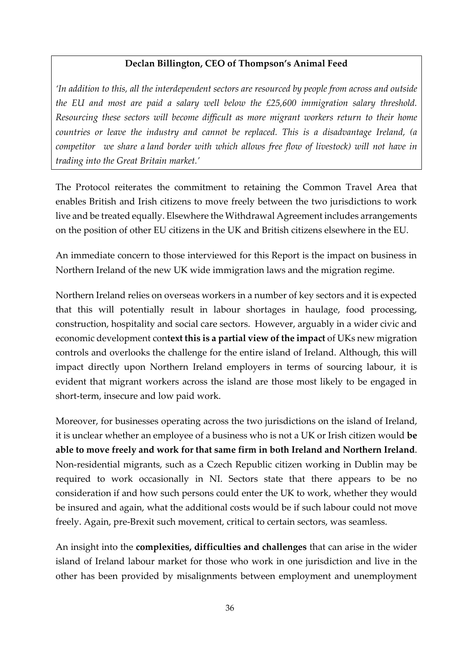#### **Declan Billington, CEO of Thompson's Animal Feed**

*'In addition to this, all the interdependent sectors are resourced by people from across and outside the EU and most are paid a salary well below the £25,600 immigration salary threshold. Resourcing these sectors will become difficult as more migrant workers return to their home countries or leave the industry and cannot be replaced. This is a disadvantage Ireland, (a competitor we share a land border with which allows free flow of livestock) will not have in trading into the Great Britain market.'*

The Protocol reiterates the commitment to retaining the Common Travel Area that enables British and Irish citizens to move freely between the two jurisdictions to work live and be treated equally. Elsewhere the Withdrawal Agreement includes arrangements on the position of other EU citizens in the UK and British citizens elsewhere in the EU.

An immediate concern to those interviewed for this Report is the impact on business in Northern Ireland of the new UK wide immigration laws and the migration regime.

Northern Ireland relies on overseas workers in a number of key sectors and it is expected that this will potentially result in labour shortages in haulage, food processing, construction, hospitality and social care sectors. However, arguably in a wider civic and economic development con**text this is a partial view of the impact** of UKs new migration controls and overlooks the challenge for the entire island of Ireland. Although, this will impact directly upon Northern Ireland employers in terms of sourcing labour, it is evident that migrant workers across the island are those most likely to be engaged in short-term, insecure and low paid work.

Moreover, for businesses operating across the two jurisdictions on the island of Ireland, it is unclear whether an employee of a business who is not a UK or Irish citizen would **be able to move freely and work for that same firm in both Ireland and Northern Ireland**. Non-residential migrants, such as a Czech Republic citizen working in Dublin may be required to work occasionally in NI. Sectors state that there appears to be no consideration if and how such persons could enter the UK to work, whether they would be insured and again, what the additional costs would be if such labour could not move freely. Again, pre-Brexit such movement, critical to certain sectors, was seamless.

<span id="page-35-0"></span>An insight into the **complexities, difficulties and challenges** that can arise in the wider island of Ireland labour market for those who work in one jurisdiction and live in the other has been provided by misalignments between employment and unemployment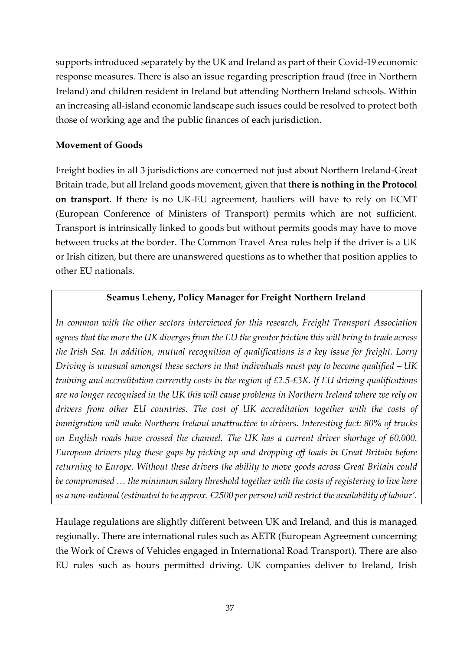supports introduced separately by the UK and Ireland as part of their Covid-19 economic response measures. There is also an issue regarding prescription fraud (free in Northern Ireland) and children resident in Ireland but attending Northern Ireland schools. Within an increasing all-island economic landscape such issues could be resolved to protect both those of working age and the public finances of each jurisdiction.

#### **Movement of Goods**

Freight bodies in all 3 jurisdictions are concerned not just about Northern Ireland-Great Britain trade, but all Ireland goods movement, given that **there is nothing in the Protocol on transport**. If there is no UK-EU agreement, hauliers will have to rely on ECMT (European Conference of Ministers of Transport) permits which are not sufficient. Transport is intrinsically linked to goods but without permits goods may have to move between trucks at the border. The Common Travel Area rules help if the driver is a UK or Irish citizen, but there are unanswered questions as to whether that position applies to other EU nationals.

#### **Seamus Leheny, Policy Manager for Freight Northern Ireland**

*In common with the other sectors interviewed for this research, Freight Transport Association* agrees that the more the UK diverges from the EU the greater friction this will bring to trade across *the Irish Sea. In addition, mutual recognition of qualifications is a key issue for freight. Lorry Driving is unusual amongst these sectors in that individuals must pay to become qualified – UK training and accreditation currently costs in the region of £2.5-£3K. If EU driving qualifications are no longer recognised in the UK this will cause problems in Northern Ireland where we rely on drivers from other EU countries. The cost of UK accreditation together with the costs of immigration will make Northern Ireland unattractive to drivers. Interesting fact: 80% of trucks on English roads have crossed the channel. The UK has a current driver shortage of 60,000. European drivers plug these gaps by picking up and dropping off loads in Great Britain before returning to Europe. Without these drivers the ability to move goods across Great Britain could be compromised … the minimum salary threshold together with the costs of registering to live here as a non-national (estimated to be approx. £2500 per person) willrestrict the availability of labour'.*

Haulage regulations are slightly different between UK and Ireland, and this is managed regionally. There are international rules such as AETR (European Agreement concerning the Work of Crews of Vehicles engaged in International Road Transport). There are also EU rules such as hours permitted driving. UK companies deliver to Ireland, Irish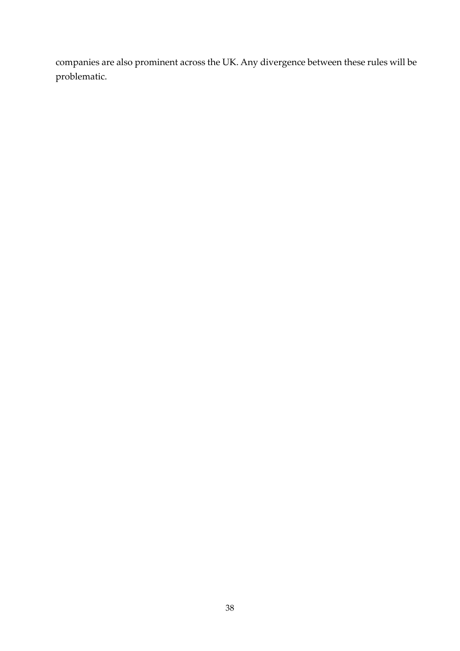companies are also prominent across the UK. Any divergence between these rules will be problematic.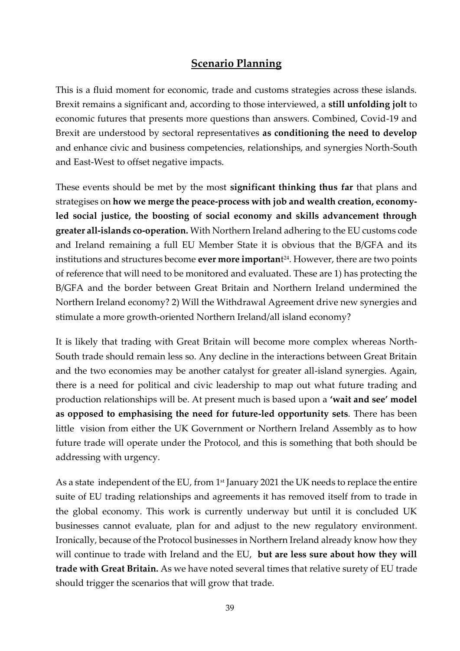## **Scenario Planning**

<span id="page-38-0"></span>This is a fluid moment for economic, trade and customs strategies across these islands. Brexit remains a significant and, according to those interviewed, a **still unfolding jolt** to economic futures that presents more questions than answers. Combined, Covid-19 and Brexit are understood by sectoral representatives **as conditioning the need to develop** and enhance civic and business competencies, relationships, and synergies North-South and East-West to offset negative impacts.

These events should be met by the most **significant thinking thus far** that plans and strategises on **how we merge the peace-process with job and wealth creation, economyled social justice, the boosting of social economy and skills advancement through greater all-islands co-operation.** With Northern Ireland adhering to the EU customs code and Ireland remaining a full EU Member State it is obvious that the B/GFA and its institutions and structures become **ever more importan**t <sup>24</sup>. However, there are two points of reference that will need to be monitored and evaluated. These are 1) has protecting the B/GFA and the border between Great Britain and Northern Ireland undermined the Northern Ireland economy? 2) Will the Withdrawal Agreement drive new synergies and stimulate a more growth-oriented Northern Ireland/all island economy?

It is likely that trading with Great Britain will become more complex whereas North-South trade should remain less so. Any decline in the interactions between Great Britain and the two economies may be another catalyst for greater all-island synergies. Again, there is a need for political and civic leadership to map out what future trading and production relationships will be. At present much is based upon a **'wait and see' model as opposed to emphasising the need for future-led opportunity sets**. There has been little vision from either the UK Government or Northern Ireland Assembly as to how future trade will operate under the Protocol, and this is something that both should be addressing with urgency.

As a state independent of the EU, from  $1<sup>st</sup>$  January 2021 the UK needs to replace the entire suite of EU trading relationships and agreements it has removed itself from to trade in the global economy. This work is currently underway but until it is concluded UK businesses cannot evaluate, plan for and adjust to the new regulatory environment. Ironically, because of the Protocol businesses in Northern Ireland already know how they will continue to trade with Ireland and the EU, **but are less sure about how they will trade with Great Britain.** As we have noted several times that relative surety of EU trade should trigger the scenarios that will grow that trade.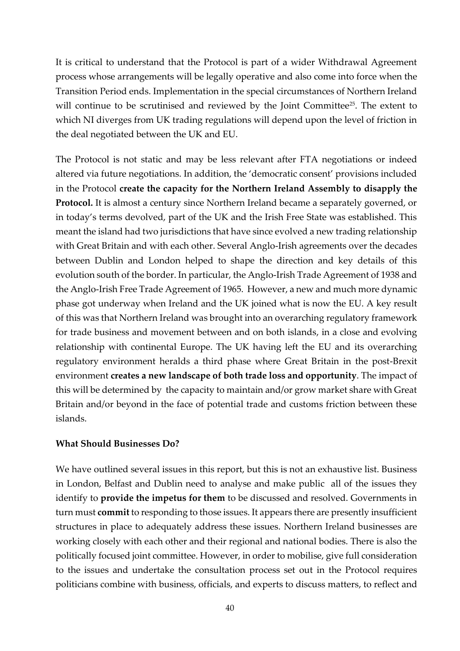It is critical to understand that the Protocol is part of a wider Withdrawal Agreement process whose arrangements will be legally operative and also come into force when the Transition Period ends. Implementation in the special circumstances of Northern Ireland will continue to be scrutinised and reviewed by the Joint Committee<sup>25</sup>. The extent to which NI diverges from UK trading regulations will depend upon the level of friction in the deal negotiated between the UK and EU.

The Protocol is not static and may be less relevant after FTA negotiations or indeed altered via future negotiations. In addition, the 'democratic consent' provisions included in the Protocol **create the capacity for the Northern Ireland Assembly to disapply the Protocol.** It is almost a century since Northern Ireland became a separately governed, or in today's terms devolved, part of the UK and the Irish Free State was established. This meant the island had two jurisdictions that have since evolved a new trading relationship with Great Britain and with each other. Several Anglo-Irish agreements over the decades between Dublin and London helped to shape the direction and key details of this evolution south of the border. In particular, the Anglo-Irish Trade Agreement of 1938 and the Anglo-Irish Free Trade Agreement of 1965. However, a new and much more dynamic phase got underway when Ireland and the UK joined what is now the EU. A key result of this was that Northern Ireland was brought into an overarching regulatory framework for trade business and movement between and on both islands, in a close and evolving relationship with continental Europe. The UK having left the EU and its overarching regulatory environment heralds a third phase where Great Britain in the post-Brexit environment **creates a new landscape of both trade loss and opportunity**. The impact of this will be determined by the capacity to maintain and/or grow market share with Great Britain and/or beyond in the face of potential trade and customs friction between these islands.

#### <span id="page-39-0"></span>**What Should Businesses Do?**

We have outlined several issues in this report, but this is not an exhaustive list. Business in London, Belfast and Dublin need to analyse and make public all of the issues they identify to **provide the impetus for them** to be discussed and resolved. Governments in turn must **commit** to responding to those issues. It appears there are presently insufficient structures in place to adequately address these issues. Northern Ireland businesses are working closely with each other and their regional and national bodies. There is also the politically focused joint committee. However, in order to mobilise, give full consideration to the issues and undertake the consultation process set out in the Protocol requires politicians combine with business, officials, and experts to discuss matters, to reflect and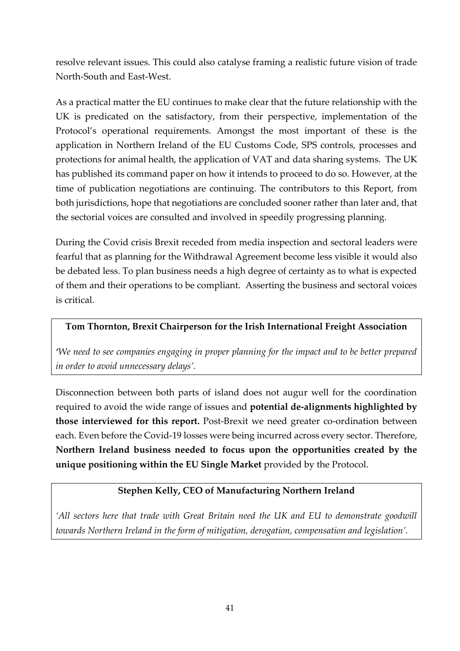resolve relevant issues. This could also catalyse framing a realistic future vision of trade North-South and East-West.

As a practical matter the EU continues to make clear that the future relationship with the UK is predicated on the satisfactory, from their perspective, implementation of the Protocol's operational requirements. Amongst the most important of these is the application in Northern Ireland of the EU Customs Code, SPS controls, processes and protections for animal health, the application of VAT and data sharing systems. The UK has published its command paper on how it intends to proceed to do so. However, at the time of publication negotiations are continuing. The contributors to this Report, from both jurisdictions, hope that negotiations are concluded sooner rather than later and, that the sectorial voices are consulted and involved in speedily progressing planning.

During the Covid crisis Brexit receded from media inspection and sectoral leaders were fearful that as planning for the Withdrawal Agreement become less visible it would also be debated less. To plan business needs a high degree of certainty as to what is expected of them and their operations to be compliant. Asserting the business and sectoral voices is critical.

#### **Tom Thornton, Brexit Chairperson for the Irish International Freight Association**

*'We need to see companies engaging in proper planning for the impact and to be better prepared in order to avoid unnecessary delays'.*

Disconnection between both parts of island does not augur well for the coordination required to avoid the wide range of issues and **potential de-alignments highlighted by those interviewed for this report.** Post-Brexit we need greater co-ordination between each. Even before the Covid-19 losses were being incurred across every sector. Therefore, **Northern Ireland business needed to focus upon the opportunities created by the unique positioning within the EU Single Market** provided by the Protocol.

#### **Stephen Kelly, CEO of Manufacturing Northern Ireland**

*'All sectors here that trade with Great Britain need the UK and EU to demonstrate goodwill towards Northern Ireland in the form of mitigation, derogation, compensation and legislation'.*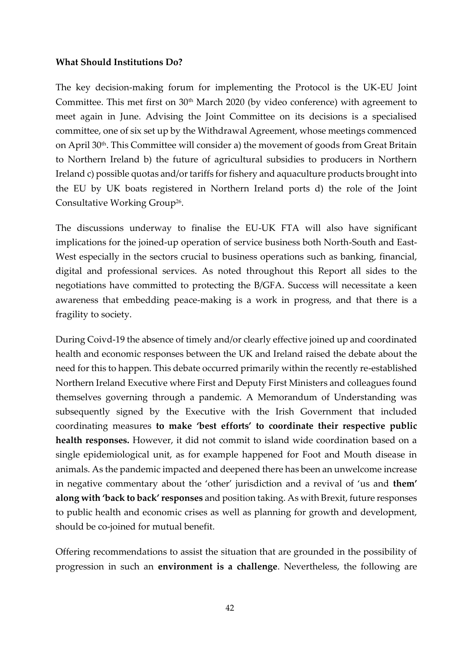#### <span id="page-41-0"></span>**What Should Institutions Do?**

The key decision-making forum for implementing the Protocol is the UK-EU Joint Committee. This met first on  $30<sup>th</sup>$  March 2020 (by video conference) with agreement to meet again in June. Advising the Joint Committee on its decisions is a specialised committee, one of six set up by the Withdrawal Agreement, whose meetings commenced on April 30<sup>th</sup>. This Committee will consider a) the movement of goods from Great Britain to Northern Ireland b) the future of agricultural subsidies to producers in Northern Ireland c) possible quotas and/or tariffs for fishery and aquaculture products brought into the EU by UK boats registered in Northern Ireland ports d) the role of the Joint Consultative Working Group<sup>26</sup>.

The discussions underway to finalise the EU-UK FTA will also have significant implications for the joined-up operation of service business both North-South and East-West especially in the sectors crucial to business operations such as banking, financial, digital and professional services. As noted throughout this Report all sides to the negotiations have committed to protecting the B/GFA. Success will necessitate a keen awareness that embedding peace-making is a work in progress, and that there is a fragility to society.

During Coivd-19 the absence of timely and/or clearly effective joined up and coordinated health and economic responses between the UK and Ireland raised the debate about the need for this to happen. This debate occurred primarily within the recently re-established Northern Ireland Executive where First and Deputy First Ministers and colleagues found themselves governing through a pandemic. A Memorandum of Understanding was subsequently signed by the Executive with the Irish Government that included coordinating measures **to make 'best efforts' to coordinate their respective public health responses.** However, it did not commit to island wide coordination based on a single epidemiological unit, as for example happened for Foot and Mouth disease in animals. As the pandemic impacted and deepened there has been an unwelcome increase in negative commentary about the 'other' jurisdiction and a revival of 'us and **them' along with 'back to back' responses** and position taking. As with Brexit, future responses to public health and economic crises as well as planning for growth and development, should be co-joined for mutual benefit.

Offering recommendations to assist the situation that are grounded in the possibility of progression in such an **environment is a challenge**. Nevertheless, the following are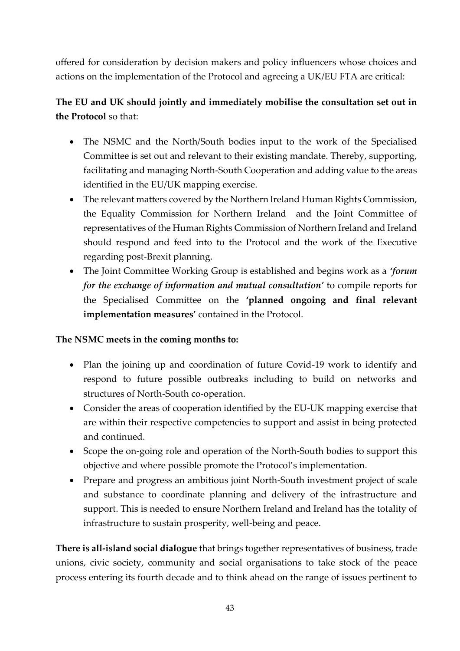offered for consideration by decision makers and policy influencers whose choices and actions on the implementation of the Protocol and agreeing a UK/EU FTA are critical:

# **The EU and UK should jointly and immediately mobilise the consultation set out in the Protocol** so that:

- The NSMC and the North/South bodies input to the work of the Specialised Committee is set out and relevant to their existing mandate. Thereby, supporting, facilitating and managing North-South Cooperation and adding value to the areas identified in the EU/UK mapping exercise.
- The relevant matters covered by the Northern Ireland Human Rights Commission, the Equality Commission for Northern Ireland and the Joint Committee of representatives of the Human Rights Commission of Northern Ireland and Ireland should respond and feed into to the Protocol and the work of the Executive regarding post-Brexit planning.
- The Joint Committee Working Group is established and begins work as a *'forum for the exchange of information and mutual consultation'* to compile reports for the Specialised Committee on the **'planned ongoing and final relevant implementation measures'** contained in the Protocol.

#### **The NSMC meets in the coming months to:**

- Plan the joining up and coordination of future Covid-19 work to identify and respond to future possible outbreaks including to build on networks and structures of North-South co-operation.
- Consider the areas of cooperation identified by the EU-UK mapping exercise that are within their respective competencies to support and assist in being protected and continued.
- Scope the on-going role and operation of the North-South bodies to support this objective and where possible promote the Protocol's implementation.
- Prepare and progress an ambitious joint North-South investment project of scale and substance to coordinate planning and delivery of the infrastructure and support. This is needed to ensure Northern Ireland and Ireland has the totality of infrastructure to sustain prosperity, well-being and peace.

**There is all-island social dialogue** that brings together representatives of business, trade unions, civic society, community and social organisations to take stock of the peace process entering its fourth decade and to think ahead on the range of issues pertinent to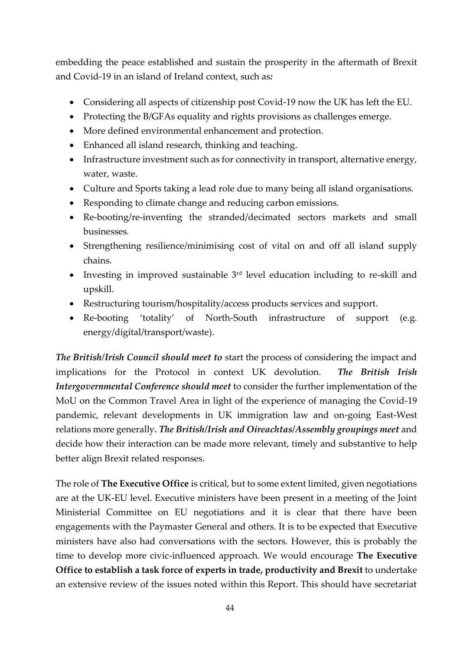embedding the peace established and sustain the prosperity in the aftermath of Brexit and Covid-19 in an island of Ireland context, such as*:*

- Considering all aspects of citizenship post Covid-19 now the UK has left the EU.
- Protecting the B/GFAs equality and rights provisions as challenges emerge.
- More defined environmental enhancement and protection.
- Enhanced all island research, thinking and teaching.
- Infrastructure investment such as for connectivity in transport, alternative energy, water, waste.
- Culture and Sports taking a lead role due to many being all island organisations.
- Responding to climate change and reducing carbon emissions.
- Re-booting/re-inventing the stranded/decimated sectors markets and small businesses.
- Strengthening resilience/minimising cost of vital on and off all island supply chains.
- Investing in improved sustainable  $3<sup>rd</sup>$  level education including to re-skill and upskill.
- Restructuring tourism/hospitality/access products services and support.
- Re-booting 'totality' of North-South infrastructure of support (e.g. energy/digital/transport/waste).

*The British/Irish Council should meet to* start the process of considering the impact and implications for the Protocol in context UK devolution. *The British Irish Intergovernmental Conference should meet* to consider the further implementation of the MoU on the Common Travel Area in light of the experience of managing the Covid-19 pandemic, relevant developments in UK immigration law and on-going East-West relations more generally*. The British/Irish and Oireachtas/Assembly groupings meet* and decide how their interaction can be made more relevant, timely and substantive to help better align Brexit related responses.

The role of **The Executive Office** is critical, but to some extent limited, given negotiations are at the UK-EU level. Executive ministers have been present in a meeting of the Joint Ministerial Committee on EU negotiations and it is clear that there have been engagements with the Paymaster General and others. It is to be expected that Executive ministers have also had conversations with the sectors. However, this is probably the time to develop more civic-influenced approach. We would encourage **The Executive Office to establish a task force of experts in trade, productivity and Brexit** to undertake an extensive review of the issues noted within this Report. This should have secretariat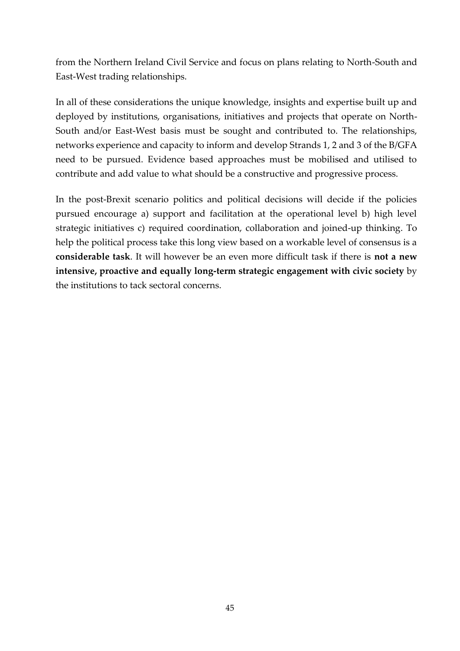from the Northern Ireland Civil Service and focus on plans relating to North-South and East-West trading relationships.

In all of these considerations the unique knowledge, insights and expertise built up and deployed by institutions, organisations, initiatives and projects that operate on North-South and/or East-West basis must be sought and contributed to. The relationships, networks experience and capacity to inform and develop Strands 1, 2 and 3 of the B/GFA need to be pursued. Evidence based approaches must be mobilised and utilised to contribute and add value to what should be a constructive and progressive process.

In the post-Brexit scenario politics and political decisions will decide if the policies pursued encourage a) support and facilitation at the operational level b) high level strategic initiatives c) required coordination, collaboration and joined-up thinking. To help the political process take this long view based on a workable level of consensus is a **considerable task**. It will however be an even more difficult task if there is **not a new intensive, proactive and equally long-term strategic engagement with civic society** by the institutions to tack sectoral concerns.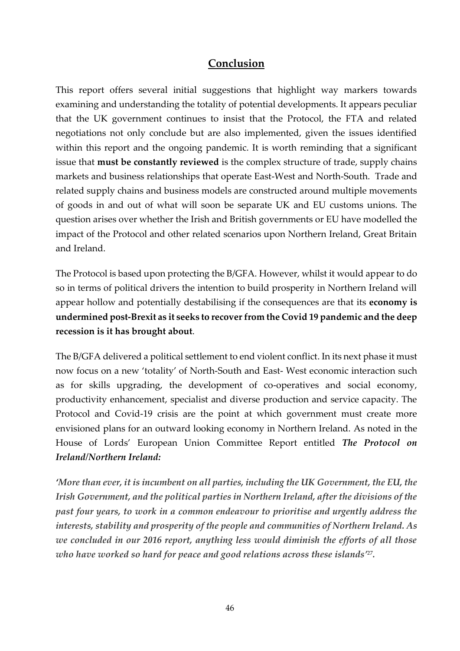## **Conclusion**

<span id="page-45-0"></span>This report offers several initial suggestions that highlight way markers towards examining and understanding the totality of potential developments. It appears peculiar that the UK government continues to insist that the Protocol, the FTA and related negotiations not only conclude but are also implemented, given the issues identified within this report and the ongoing pandemic. It is worth reminding that a significant issue that **must be constantly reviewed** is the complex structure of trade, supply chains markets and business relationships that operate East-West and North-South. Trade and related supply chains and business models are constructed around multiple movements of goods in and out of what will soon be separate UK and EU customs unions. The question arises over whether the Irish and British governments or EU have modelled the impact of the Protocol and other related scenarios upon Northern Ireland, Great Britain and Ireland.

The Protocol is based upon protecting the B/GFA. However, whilst it would appear to do so in terms of political drivers the intention to build prosperity in Northern Ireland will appear hollow and potentially destabilising if the consequences are that its **economy is undermined post-Brexit as it seeks to recover from the Covid 19 pandemic and the deep recession is it has brought about**.

The B/GFA delivered a political settlement to end violent conflict. In its next phase it must now focus on a new 'totality' of North-South and East- West economic interaction such as for skills upgrading, the development of co-operatives and social economy, productivity enhancement, specialist and diverse production and service capacity. The Protocol and Covid-19 crisis are the point at which government must create more envisioned plans for an outward looking economy in Northern Ireland. As noted in the House of Lords' European Union Committee Report entitled *The Protocol on Ireland/Northern Ireland:*

*'More than ever, it is incumbent on all parties, including the UK Government, the EU, the Irish Government, and the political parties in Northern Ireland, after the divisions of the past four years, to work in a common endeavour to prioritise and urgently address the interests, stability and prosperity of the people and communities of Northern Ireland. As we concluded in our 2016 report, anything less would diminish the efforts of all those who have worked so hard for peace and good relations across these islands' 27 .*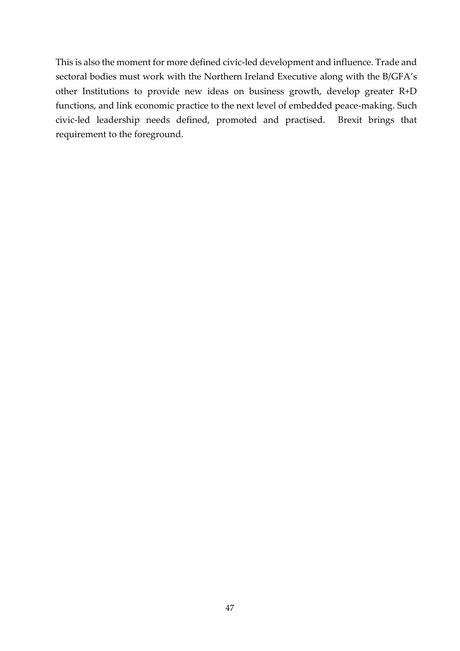This is also the moment for more defined civic-led development and influence. Trade and sectoral bodies must work with the Northern Ireland Executive along with the B/GFA's other Institutions to provide new ideas on business growth, develop greater R+D functions, and link economic practice to the next level of embedded peace-making. Such civic-led leadership needs defined, promoted and practised. Brexit brings that requirement to the foreground.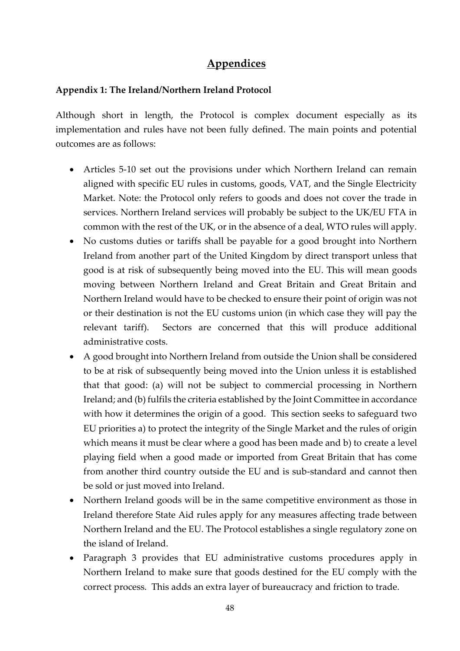# **Appendices**

#### <span id="page-47-1"></span><span id="page-47-0"></span>**Appendix 1: The Ireland/Northern Ireland Protocol**

Although short in length, the Protocol is complex document especially as its implementation and rules have not been fully defined. The main points and potential outcomes are as follows:

- Articles 5-10 set out the provisions under which Northern Ireland can remain aligned with specific EU rules in customs, goods, VAT, and the Single Electricity Market. Note: the Protocol only refers to goods and does not cover the trade in services. Northern Ireland services will probably be subject to the UK/EU FTA in common with the rest of the UK, or in the absence of a deal, WTO rules will apply.
- No customs duties or tariffs shall be payable for a good brought into Northern Ireland from another part of the United Kingdom by direct transport unless that good is at risk of subsequently being moved into the EU. This will mean goods moving between Northern Ireland and Great Britain and Great Britain and Northern Ireland would have to be checked to ensure their point of origin was not or their destination is not the EU customs union (in which case they will pay the relevant tariff). Sectors are concerned that this will produce additional administrative costs.
- A good brought into Northern Ireland from outside the Union shall be considered to be at risk of subsequently being moved into the Union unless it is established that that good: (a) will not be subject to commercial processing in Northern Ireland; and (b) fulfils the criteria established by the Joint Committee in accordance with how it determines the origin of a good. This section seeks to safeguard two EU priorities a) to protect the integrity of the Single Market and the rules of origin which means it must be clear where a good has been made and b) to create a level playing field when a good made or imported from Great Britain that has come from another third country outside the EU and is sub-standard and cannot then be sold or just moved into Ireland.
- Northern Ireland goods will be in the same competitive environment as those in Ireland therefore State Aid rules apply for any measures affecting trade between Northern Ireland and the EU. The Protocol establishes a single regulatory zone on the island of Ireland.
- Paragraph 3 provides that EU administrative customs procedures apply in Northern Ireland to make sure that goods destined for the EU comply with the correct process. This adds an extra layer of bureaucracy and friction to trade.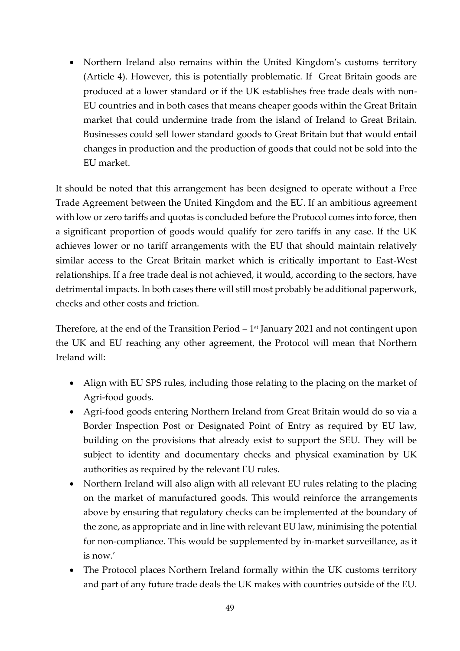• Northern Ireland also remains within the United Kingdom's customs territory (Article 4). However, this is potentially problematic. If Great Britain goods are produced at a lower standard or if the UK establishes free trade deals with non-EU countries and in both cases that means cheaper goods within the Great Britain market that could undermine trade from the island of Ireland to Great Britain. Businesses could sell lower standard goods to Great Britain but that would entail changes in production and the production of goods that could not be sold into the EU market.

It should be noted that this arrangement has been designed to operate without a Free Trade Agreement between the United Kingdom and the EU. If an ambitious agreement with low or zero tariffs and quotas is concluded before the Protocol comes into force, then a significant proportion of goods would qualify for zero tariffs in any case. If the UK achieves lower or no tariff arrangements with the EU that should maintain relatively similar access to the Great Britain market which is critically important to East-West relationships. If a free trade deal is not achieved, it would, according to the sectors, have detrimental impacts. In both cases there will still most probably be additional paperwork, checks and other costs and friction.

Therefore, at the end of the Transition Period  $-1$ <sup>st</sup> January 2021 and not contingent upon the UK and EU reaching any other agreement, the Protocol will mean that Northern Ireland will:

- Align with EU SPS rules, including those relating to the placing on the market of Agri-food goods.
- Agri-food goods entering Northern Ireland from Great Britain would do so via a Border Inspection Post or Designated Point of Entry as required by EU law, building on the provisions that already exist to support the SEU. They will be subject to identity and documentary checks and physical examination by UK authorities as required by the relevant EU rules.
- Northern Ireland will also align with all relevant EU rules relating to the placing on the market of manufactured goods. This would reinforce the arrangements above by ensuring that regulatory checks can be implemented at the boundary of the zone, as appropriate and in line with relevant EU law, minimising the potential for non-compliance. This would be supplemented by in-market surveillance, as it is now.'
- The Protocol places Northern Ireland formally within the UK customs territory and part of any future trade deals the UK makes with countries outside of the EU.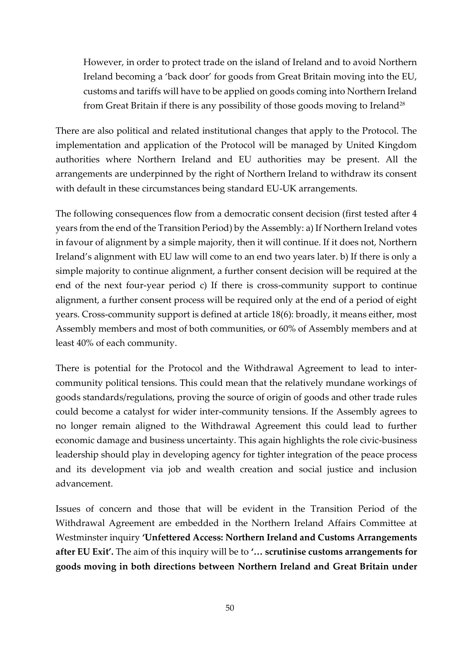However, in order to protect trade on the island of Ireland and to avoid Northern Ireland becoming a 'back door' for goods from Great Britain moving into the EU, customs and tariffs will have to be applied on goods coming into Northern Ireland from Great Britain if there is any possibility of those goods moving to Ireland<sup>28</sup>

There are also political and related institutional changes that apply to the Protocol. The implementation and application of the Protocol will be managed by United Kingdom authorities where Northern Ireland and EU authorities may be present. All the arrangements are underpinned by the right of Northern Ireland to withdraw its consent with default in these circumstances being standard EU-UK arrangements.

The following consequences flow from a democratic consent decision (first tested after 4 years from the end of the Transition Period) by the Assembly: a) If Northern Ireland votes in favour of alignment by a simple majority, then it will continue. If it does not, Northern Ireland's alignment with EU law will come to an end two years later. b) If there is only a simple majority to continue alignment, a further consent decision will be required at the end of the next four-year period c) If there is cross-community support to continue alignment, a further consent process will be required only at the end of a period of eight years. Cross-community support is defined at article 18(6): broadly, it means either, most Assembly members and most of both communities, or 60% of Assembly members and at least 40% of each community.

There is potential for the Protocol and the Withdrawal Agreement to lead to intercommunity political tensions. This could mean that the relatively mundane workings of goods standards/regulations, proving the source of origin of goods and other trade rules could become a catalyst for wider inter-community tensions. If the Assembly agrees to no longer remain aligned to the Withdrawal Agreement this could lead to further economic damage and business uncertainty. This again highlights the role civic-business leadership should play in developing agency for tighter integration of the peace process and its development via job and wealth creation and social justice and inclusion advancement.

Issues of concern and those that will be evident in the Transition Period of the Withdrawal Agreement are embedded in the Northern Ireland Affairs Committee at Westminster inquiry **'Unfettered Access: Northern Ireland and Customs Arrangements after EU Exit'.** The aim of this inquiry will be to **'… scrutinise customs arrangements for goods moving in both directions between Northern Ireland and Great Britain under**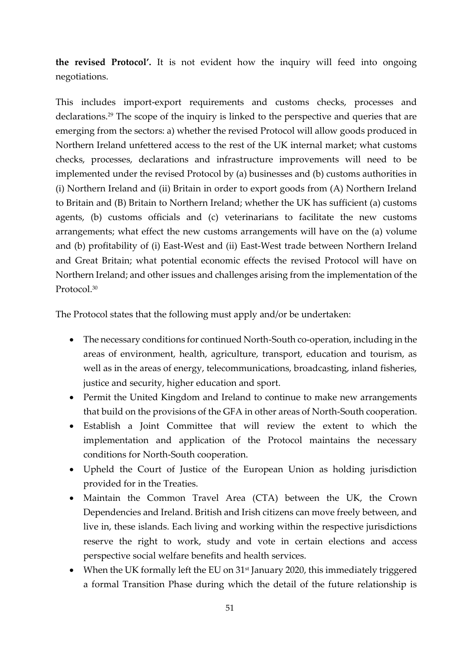**the revised Protocol'.** It is not evident how the inquiry will feed into ongoing negotiations.

This includes import-export requirements and customs checks, processes and declarations.<sup>29</sup> The scope of the inquiry is linked to the perspective and queries that are emerging from the sectors: a) whether the revised Protocol will allow goods produced in Northern Ireland unfettered access to the rest of the UK internal market; what customs checks, processes, declarations and infrastructure improvements will need to be implemented under the revised Protocol by (a) businesses and (b) customs authorities in (i) Northern Ireland and (ii) Britain in order to export goods from (A) Northern Ireland to Britain and (B) Britain to Northern Ireland; whether the UK has sufficient (a) customs agents, (b) customs officials and (c) veterinarians to facilitate the new customs arrangements; what effect the new customs arrangements will have on the (a) volume and (b) profitability of (i) East-West and (ii) East-West trade between Northern Ireland and Great Britain; what potential economic effects the revised Protocol will have on Northern Ireland; and other issues and challenges arising from the implementation of the Protocol.<sup>30</sup>

The Protocol states that the following must apply and/or be undertaken:

- The necessary conditions for continued North-South co-operation, including in the areas of environment, health, agriculture, transport, education and tourism, as well as in the areas of energy, telecommunications, broadcasting, inland fisheries, justice and security, higher education and sport.
- Permit the United Kingdom and Ireland to continue to make new arrangements that build on the provisions of the GFA in other areas of North-South cooperation.
- Establish a Joint Committee that will review the extent to which the implementation and application of the Protocol maintains the necessary conditions for North-South cooperation.
- Upheld the Court of Justice of the European Union as holding jurisdiction provided for in the Treaties.
- Maintain the Common Travel Area (CTA) between the UK, the Crown Dependencies and Ireland. British and Irish citizens can move freely between, and live in, these islands. Each living and working within the respective jurisdictions reserve the right to work, study and vote in certain elections and access perspective social welfare benefits and health services.
- When the UK formally left the EU on  $31<sup>st</sup>$  January 2020, this immediately triggered a formal Transition Phase during which the detail of the future relationship is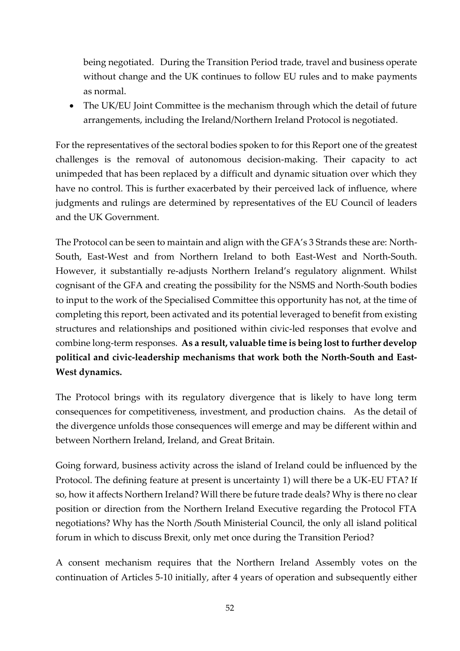being negotiated. During the Transition Period trade, travel and business operate without change and the UK continues to follow EU rules and to make payments as normal.

• The UK/EU Joint Committee is the mechanism through which the detail of future arrangements, including the Ireland/Northern Ireland Protocol is negotiated.

For the representatives of the sectoral bodies spoken to for this Report one of the greatest challenges is the removal of autonomous decision-making. Their capacity to act unimpeded that has been replaced by a difficult and dynamic situation over which they have no control. This is further exacerbated by their perceived lack of influence, where judgments and rulings are determined by representatives of the EU Council of leaders and the UK Government.

The Protocol can be seen to maintain and align with the GFA's 3 Strands these are: North-South, East-West and from Northern Ireland to both East-West and North-South. However, it substantially re-adjusts Northern Ireland's regulatory alignment. Whilst cognisant of the GFA and creating the possibility for the NSMS and North-South bodies to input to the work of the Specialised Committee this opportunity has not, at the time of completing this report, been activated and its potential leveraged to benefit from existing structures and relationships and positioned within civic-led responses that evolve and combine long-term responses. **As a result, valuable time is being lost to further develop political and civic-leadership mechanisms that work both the North-South and East-West dynamics.** 

The Protocol brings with its regulatory divergence that is likely to have long term consequences for competitiveness, investment, and production chains. As the detail of the divergence unfolds those consequences will emerge and may be different within and between Northern Ireland, Ireland, and Great Britain.

Going forward, business activity across the island of Ireland could be influenced by the Protocol. The defining feature at present is uncertainty 1) will there be a UK-EU FTA? If so, how it affects Northern Ireland? Will there be future trade deals? Why is there no clear position or direction from the Northern Ireland Executive regarding the Protocol FTA negotiations? Why has the North /South Ministerial Council, the only all island political forum in which to discuss Brexit, only met once during the Transition Period?

A consent mechanism requires that the Northern Ireland Assembly votes on the continuation of Articles 5-10 initially, after 4 years of operation and subsequently either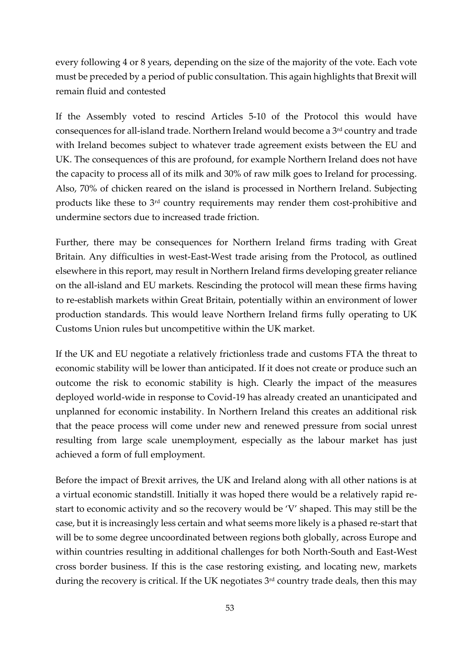every following 4 or 8 years, depending on the size of the majority of the vote. Each vote must be preceded by a period of public consultation. This again highlights that Brexit will remain fluid and contested

If the Assembly voted to rescind Articles 5-10 of the Protocol this would have consequences for all-island trade. Northern Ireland would become a 3rd country and trade with Ireland becomes subject to whatever trade agreement exists between the EU and UK. The consequences of this are profound, for example Northern Ireland does not have the capacity to process all of its milk and 30% of raw milk goes to Ireland for processing. Also, 70% of chicken reared on the island is processed in Northern Ireland. Subjecting products like these to 3rd country requirements may render them cost-prohibitive and undermine sectors due to increased trade friction.

Further, there may be consequences for Northern Ireland firms trading with Great Britain. Any difficulties in west-East-West trade arising from the Protocol, as outlined elsewhere in this report, may result in Northern Ireland firms developing greater reliance on the all-island and EU markets. Rescinding the protocol will mean these firms having to re-establish markets within Great Britain, potentially within an environment of lower production standards. This would leave Northern Ireland firms fully operating to UK Customs Union rules but uncompetitive within the UK market.

If the UK and EU negotiate a relatively frictionless trade and customs FTA the threat to economic stability will be lower than anticipated. If it does not create or produce such an outcome the risk to economic stability is high. Clearly the impact of the measures deployed world-wide in response to Covid-19 has already created an unanticipated and unplanned for economic instability. In Northern Ireland this creates an additional risk that the peace process will come under new and renewed pressure from social unrest resulting from large scale unemployment, especially as the labour market has just achieved a form of full employment.

Before the impact of Brexit arrives, the UK and Ireland along with all other nations is at a virtual economic standstill. Initially it was hoped there would be a relatively rapid restart to economic activity and so the recovery would be 'V' shaped. This may still be the case, but it is increasingly less certain and what seems more likely is a phased re-start that will be to some degree uncoordinated between regions both globally, across Europe and within countries resulting in additional challenges for both North-South and East-West cross border business. If this is the case restoring existing, and locating new, markets during the recovery is critical. If the UK negotiates 3<sup>rd</sup> country trade deals, then this may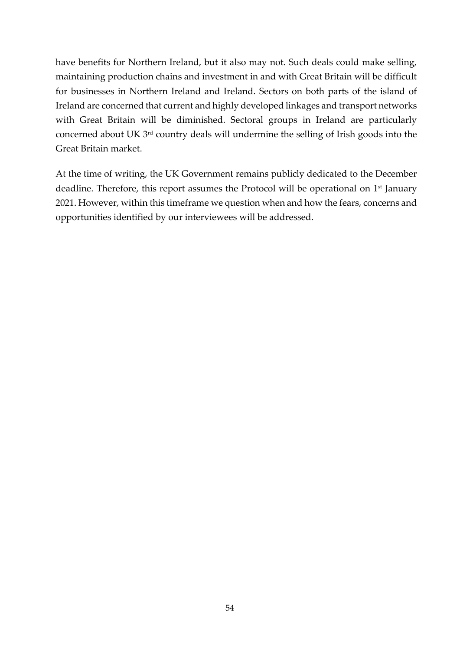have benefits for Northern Ireland, but it also may not. Such deals could make selling, maintaining production chains and investment in and with Great Britain will be difficult for businesses in Northern Ireland and Ireland. Sectors on both parts of the island of Ireland are concerned that current and highly developed linkages and transport networks with Great Britain will be diminished. Sectoral groups in Ireland are particularly concerned about UK 3rd country deals will undermine the selling of Irish goods into the Great Britain market.

At the time of writing, the UK Government remains publicly dedicated to the December deadline. Therefore, this report assumes the Protocol will be operational on 1<sup>st</sup> January 2021. However, within this timeframe we question when and how the fears, concerns and opportunities identified by our interviewees will be addressed.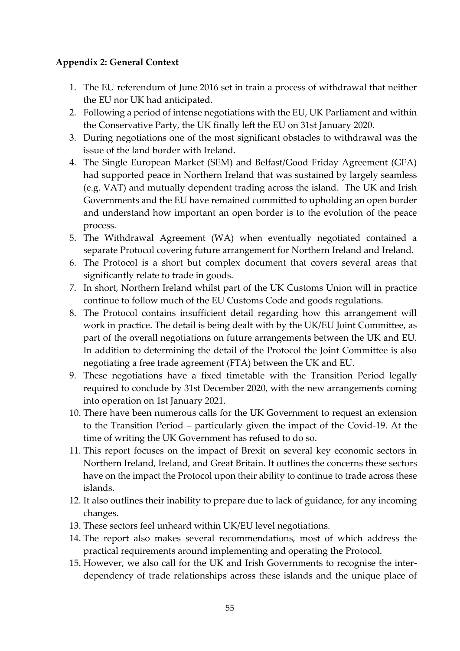#### <span id="page-54-0"></span>**Appendix 2: General Context**

- 1. The EU referendum of June 2016 set in train a process of withdrawal that neither the EU nor UK had anticipated.
- 2. Following a period of intense negotiations with the EU, UK Parliament and within the Conservative Party, the UK finally left the EU on 31st January 2020.
- 3. During negotiations one of the most significant obstacles to withdrawal was the issue of the land border with Ireland.
- 4. The Single European Market (SEM) and Belfast/Good Friday Agreement (GFA) had supported peace in Northern Ireland that was sustained by largely seamless (e.g. VAT) and mutually dependent trading across the island. The UK and Irish Governments and the EU have remained committed to upholding an open border and understand how important an open border is to the evolution of the peace process.
- 5. The Withdrawal Agreement (WA) when eventually negotiated contained a separate Protocol covering future arrangement for Northern Ireland and Ireland.
- 6. The Protocol is a short but complex document that covers several areas that significantly relate to trade in goods.
- 7. In short, Northern Ireland whilst part of the UK Customs Union will in practice continue to follow much of the EU Customs Code and goods regulations.
- 8. The Protocol contains insufficient detail regarding how this arrangement will work in practice. The detail is being dealt with by the UK/EU Joint Committee, as part of the overall negotiations on future arrangements between the UK and EU. In addition to determining the detail of the Protocol the Joint Committee is also negotiating a free trade agreement (FTA) between the UK and EU.
- 9. These negotiations have a fixed timetable with the Transition Period legally required to conclude by 31st December 2020, with the new arrangements coming into operation on 1st January 2021.
- 10. There have been numerous calls for the UK Government to request an extension to the Transition Period – particularly given the impact of the Covid-19. At the time of writing the UK Government has refused to do so.
- 11. This report focuses on the impact of Brexit on several key economic sectors in Northern Ireland, Ireland, and Great Britain. It outlines the concerns these sectors have on the impact the Protocol upon their ability to continue to trade across these islands.
- 12. It also outlines their inability to prepare due to lack of guidance, for any incoming changes.
- 13. These sectors feel unheard within UK/EU level negotiations.
- 14. The report also makes several recommendations, most of which address the practical requirements around implementing and operating the Protocol.
- 15. However, we also call for the UK and Irish Governments to recognise the interdependency of trade relationships across these islands and the unique place of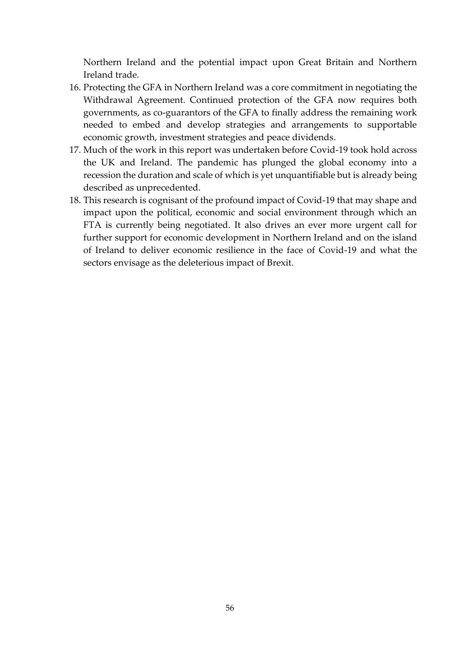Northern Ireland and the potential impact upon Great Britain and Northern Ireland trade.

- 16. Protecting the GFA in Northern Ireland was a core commitment in negotiating the Withdrawal Agreement. Continued protection of the GFA now requires both governments, as co-guarantors of the GFA to finally address the remaining work needed to embed and develop strategies and arrangements to supportable economic growth, investment strategies and peace dividends.
- 17. Much of the work in this report was undertaken before Covid-19 took hold across the UK and Ireland. The pandemic has plunged the global economy into a recession the duration and scale of which is yet unquantifiable but is already being described as unprecedented.
- 18. This research is cognisant of the profound impact of Covid-19 that may shape and impact upon the political, economic and social environment through which an FTA is currently being negotiated. It also drives an ever more urgent call for further support for economic development in Northern Ireland and on the island of Ireland to deliver economic resilience in the face of Covid-19 and what the sectors envisage as the deleterious impact of Brexit.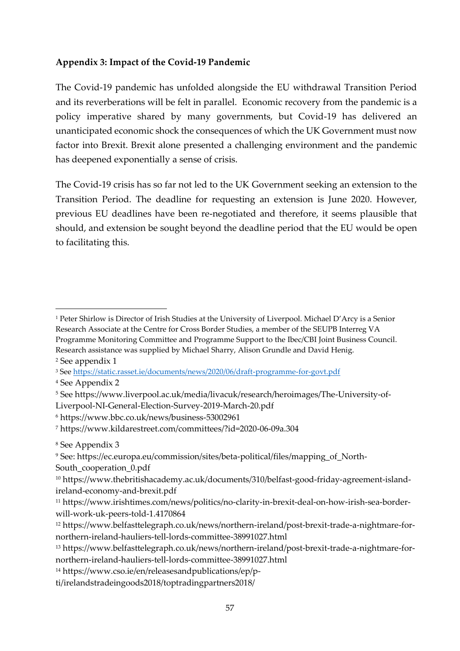#### <span id="page-56-0"></span>**Appendix 3: Impact of the Covid-19 Pandemic**

The Covid-19 pandemic has unfolded alongside the EU withdrawal Transition Period and its reverberations will be felt in parallel. Economic recovery from the pandemic is a policy imperative shared by many governments, but Covid-19 has delivered an unanticipated economic shock the consequences of which the UK Government must now factor into Brexit. Brexit alone presented a challenging environment and the pandemic has deepened exponentially a sense of crisis.

The Covid-19 crisis has so far not led to the UK Government seeking an extension to the Transition Period. The deadline for requesting an extension is June 2020. However, previous EU deadlines have been re-negotiated and therefore, it seems plausible that should, and extension be sought beyond the deadline period that the EU would be open to facilitating this.

**.** 

<sup>4</sup> See Appendix 2

<sup>14</sup> [https://www.cso.ie/en/releasesandpublications/ep/p-](https://www.cso.ie/en/releasesandpublications/ep/p-ti/irelandstradeingoods2018/toptradingpartners2018/)

[ti/irelandstradeingoods2018/toptradingpartners2018/](https://www.cso.ie/en/releasesandpublications/ep/p-ti/irelandstradeingoods2018/toptradingpartners2018/)

<sup>1</sup> Peter Shirlow is Director of Irish Studies at the University of Liverpool. Michael D'Arcy is a Senior Research Associate at the Centre for Cross Border Studies, a member of the SEUPB Interreg VA Programme Monitoring Committee and Programme Support to the Ibec/CBI Joint Business Council. Research assistance was supplied by Michael Sharry, Alison Grundle and David Henig.

<sup>2</sup> See appendix 1

<sup>3</sup> See<https://static.rasset.ie/documents/news/2020/06/draft-programme-for-govt.pdf>

<sup>5</sup> See https://www.liverpool.ac.uk/media/livacuk/research/heroimages/The-University-of-

Liverpool-NI-General-Election-Survey-2019-March-20.pdf

<sup>6</sup> https://www.bbc.co.uk/news/business-53002961

<sup>7</sup> <https://www.kildarestreet.com/committees/?id=2020-06-09a.304>

<sup>8</sup> See Appendix 3

<sup>9</sup> See: https://ec.europa.eu/commission/sites/beta-political/files/mapping\_of\_North-South cooperation 0.pdf

<sup>10</sup> https://www.thebritishacademy.ac.uk/documents/310/belfast-good-friday-agreement-islandireland-economy-and-brexit.pdf

<sup>11</sup> [https://www.irishtimes.com/news/politics/no-clarity-in-brexit-deal-on-how-irish-sea-border](https://www.irishtimes.com/news/politics/no-clarity-in-brexit-deal-on-how-irish-sea-border-will-work-uk-peers-told-1.4170864)[will-work-uk-peers-told-1.4170864](https://www.irishtimes.com/news/politics/no-clarity-in-brexit-deal-on-how-irish-sea-border-will-work-uk-peers-told-1.4170864)

<sup>12</sup> [https://www.belfasttelegraph.co.uk/news/northern-ireland/post-brexit-trade-a-nightmare-for](https://www.belfasttelegraph.co.uk/news/northern-ireland/post-brexit-trade-a-nightmare-for-northern-ireland-hauliers-tell-lords-committee-38991027.html)[northern-ireland-hauliers-tell-lords-committee-38991027.html](https://www.belfasttelegraph.co.uk/news/northern-ireland/post-brexit-trade-a-nightmare-for-northern-ireland-hauliers-tell-lords-committee-38991027.html)

<sup>13</sup> [https://www.belfasttelegraph.co.uk/news/northern-ireland/post-brexit-trade-a-nightmare-for](https://www.belfasttelegraph.co.uk/news/northern-ireland/post-brexit-trade-a-nightmare-for-northern-ireland-hauliers-tell-lords-committee-38991027.html)[northern-ireland-hauliers-tell-lords-committee-38991027.html](https://www.belfasttelegraph.co.uk/news/northern-ireland/post-brexit-trade-a-nightmare-for-northern-ireland-hauliers-tell-lords-committee-38991027.html)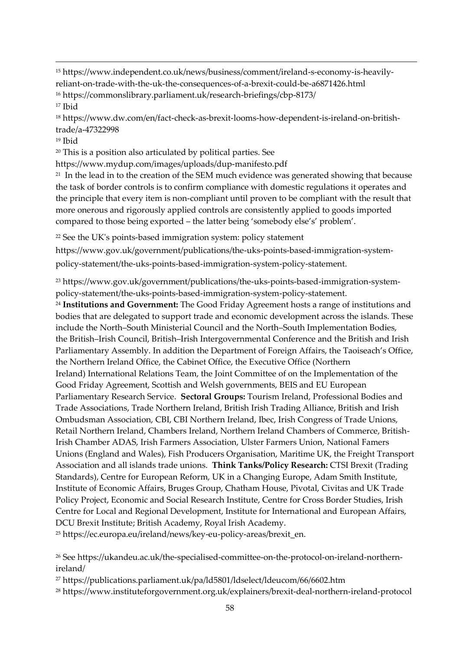<sup>15</sup> [https://www.independent.co.uk/news/business/comment/ireland-s-economy-is-heavily](https://www.independent.co.uk/news/business/comment/ireland-s-economy-is-heavily-reliant-on-trade-with-the-uk-the-consequences-of-a-brexit-could-be-a6871426.html)[reliant-on-trade-with-the-uk-the-consequences-of-a-brexit-could-be-a6871426.html](https://www.independent.co.uk/news/business/comment/ireland-s-economy-is-heavily-reliant-on-trade-with-the-uk-the-consequences-of-a-brexit-could-be-a6871426.html)

- <sup>16</sup> <https://commonslibrary.parliament.uk/research-briefings/cbp-8173/>
- <sup>17</sup> Ibid

**.** 

<sup>18</sup> [https://www.dw.com/en/fact-check-as-brexit-looms-how-dependent-is-ireland-on-british](https://www.dw.com/en/fact-check-as-brexit-looms-how-dependent-is-ireland-on-british-trade/a-47322998)[trade/a-47322998](https://www.dw.com/en/fact-check-as-brexit-looms-how-dependent-is-ireland-on-british-trade/a-47322998)

<sup>19</sup> Ibid

<sup>20</sup> This is a position also articulated by political parties. See

<https://www.mydup.com/images/uploads/dup-manifesto.pdf>

<sup>21</sup> In the lead in to the creation of the SEM much evidence was generated showing that because the task of border controls is to confirm compliance with domestic regulations it operates and the principle that every item is non-compliant until proven to be compliant with the result that more onerous and rigorously applied controls are consistently applied to goods imported compared to those being exported – the latter being 'somebody else's' problem'.

<sup>22</sup> See the UK's points-based immigration system: policy statement

https://www.gov.uk/government/publications/the-uks-points-based-immigration-systempolicy-statement/the-uks-points-based-immigration-system-policy-statement.

<sup>23</sup> https://www.gov.uk/government/publications/the-uks-points-based-immigration-systempolicy-statement/the-uks-points-based-immigration-system-policy-statement.

<sup>24</sup> **Institutions and Government:** The Good Friday Agreement hosts a range of institutions and bodies that are delegated to support trade and economic development across the islands. These include the North–South Ministerial Council and the North–South Implementation Bodies, the British–Irish Council, British–Irish Intergovernmental Conference and the British and Irish Parliamentary Assembly. In addition the Department of Foreign Affairs, the Taoiseach's Office, the Northern Ireland Office, the Cabinet Office, the Executive Office (Northern Ireland) International Relations Team, the Joint Committee of on the Implementation of the Good Friday Agreement, Scottish and Welsh governments, BEIS and EU European Parliamentary Research Service. **Sectoral Groups:** Tourism Ireland, Professional Bodies and Trade Associations, Trade Northern Ireland, British Irish Trading Alliance, British and Irish Ombudsman Association, CBI, CBI Northern Ireland, Ibec, Irish Congress of Trade Unions, Retail Northern Ireland, Chambers Ireland, Northern Ireland Chambers of Commerce, British-Irish Chamber ADAS, Irish Farmers Association, [Ulster Farmers Union,](https://www.ufuni.org/) National Famers Unions (England and Wales), Fish Producers Organisation, Maritime UK, the Freight Transport Association and all islands trade unions. **Think Tanks/Policy Research:** CTSI Brexit (Trading Standards), Centre for European Reform, UK in a Changing Europe, Adam Smith Institute, Institute of Economic Affairs, Bruges Group, Chatham House, Pivotal, Civitas and UK Trade Policy Project, Economic and Social Research Institute, Centre for Cross Border Studies, Irish Centre for Local and Regional Development, Institute for International and European Affairs, DCU Brexit Institute; British Academy, Royal Irish Academy.

<sup>25</sup> [https://ec.europa.eu/ireland/news/key-eu-policy-areas/brexit\\_en.](https://ec.europa.eu/ireland/news/key-eu-policy-areas/brexit_en)

<sup>26</sup> See https://ukandeu.ac.uk/the-specialised-committee-on-the-protocol-on-ireland-northernireland/

<sup>27</sup> <https://publications.parliament.uk/pa/ld5801/ldselect/ldeucom/66/6602.htm>

<sup>28</sup> <https://www.instituteforgovernment.org.uk/explainers/brexit-deal-northern-ireland-protocol>